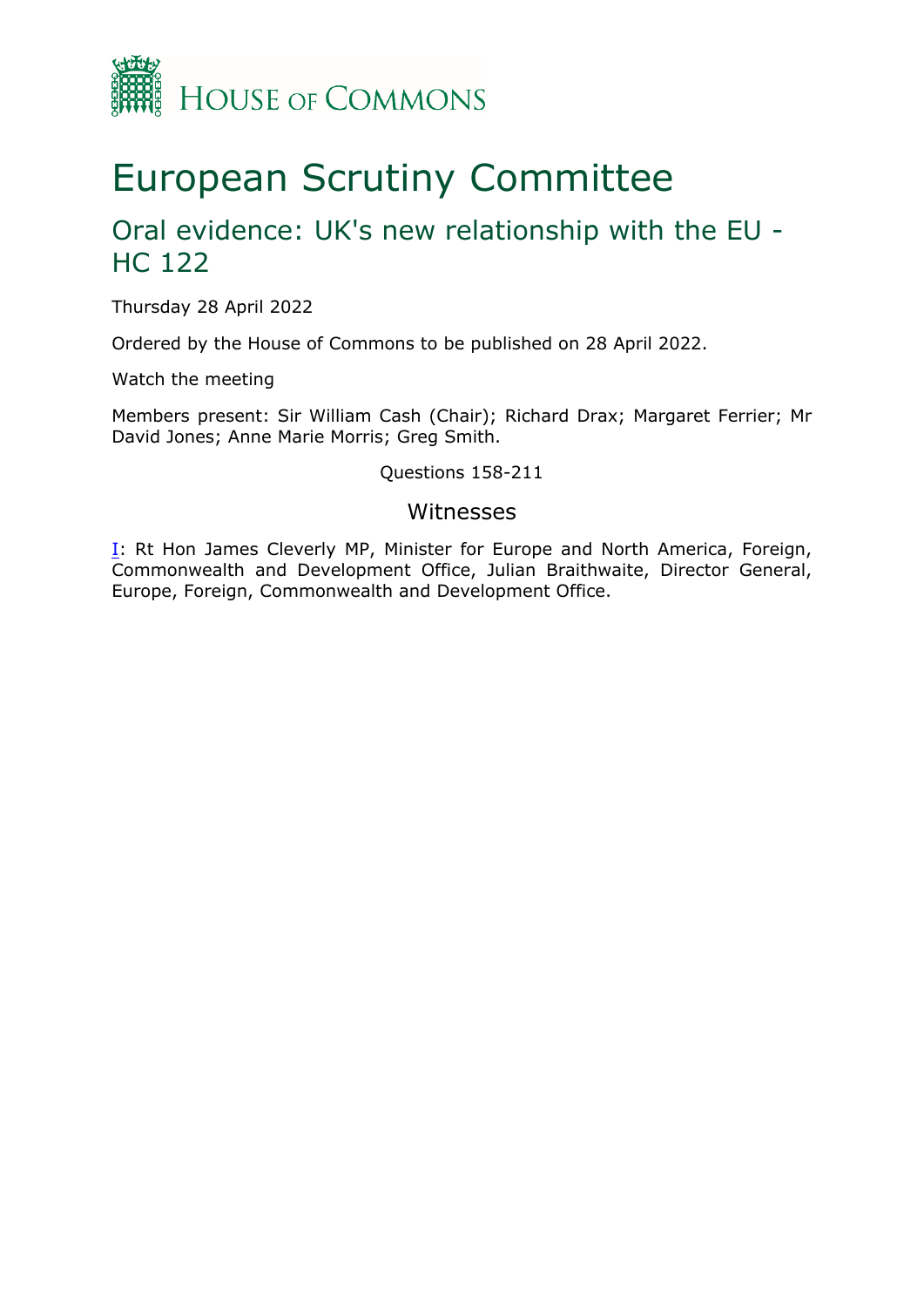

# European Scrutiny Committee

## Oral evidence: UK's new relationship with the EU - HC 122

Thursday 28 April 2022

Ordered by the House of Commons to be published on 28 April 2022.

Watch the meeting

Members present: Sir William Cash (Chair); Richard Drax; Margaret Ferrier; Mr David Jones; Anne Marie Morris; Greg Smith.

#### Questions 158-211

#### Witnesses

**[I:](#page-1-0)** Rt Hon James Cleverly MP, Minister for Europe and North America, Foreign, Commonwealth and Development Office, Julian Braithwaite, Director General, Europe, Foreign, Commonwealth and Development Office.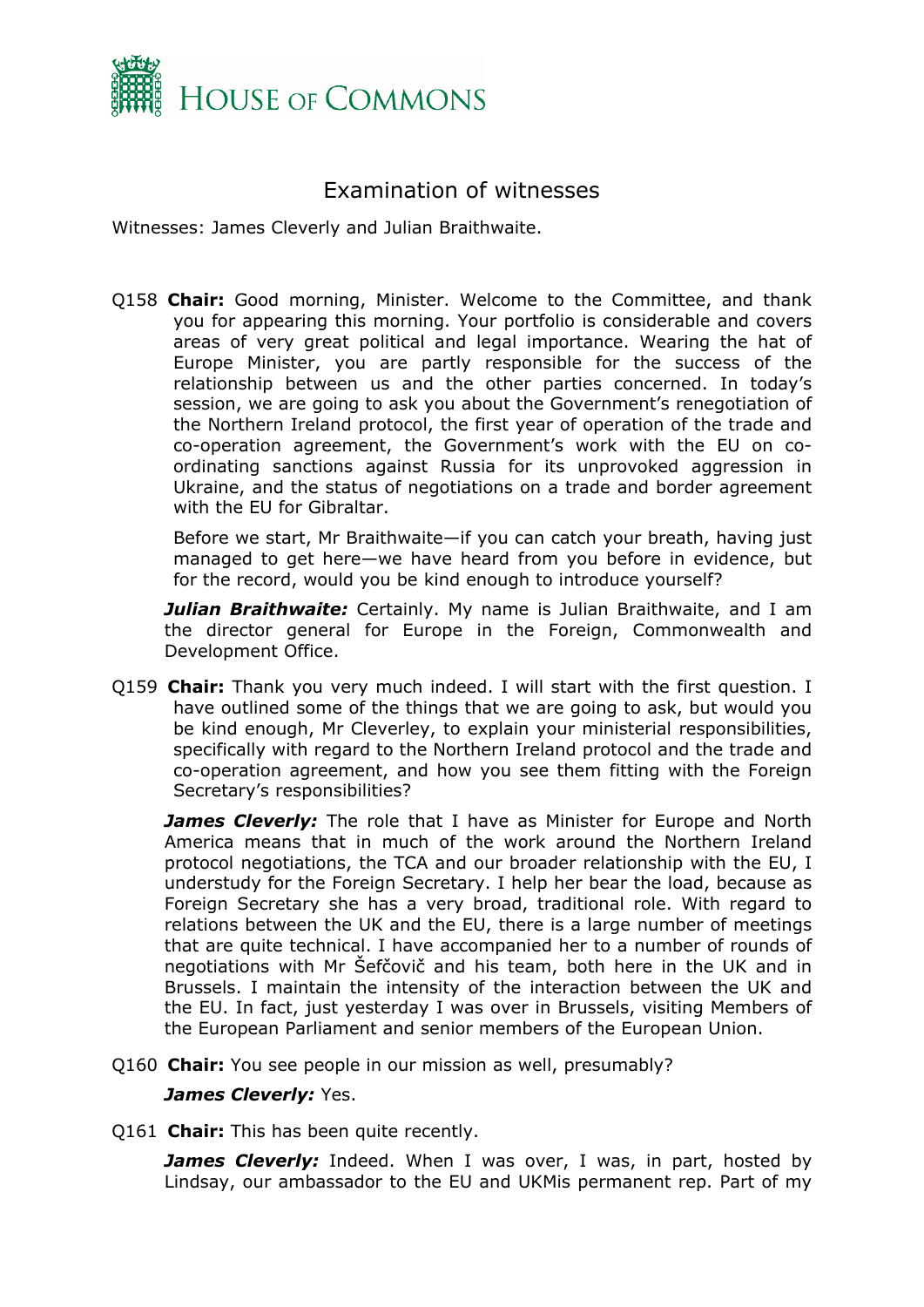

### <span id="page-1-0"></span>Examination of witnesses

Witnesses: James Cleverly and Julian Braithwaite.

Q158 **Chair:** Good morning, Minister. Welcome to the Committee, and thank you for appearing this morning. Your portfolio is considerable and covers areas of very great political and legal importance. Wearing the hat of Europe Minister, you are partly responsible for the success of the relationship between us and the other parties concerned. In today's session, we are going to ask you about the Government's renegotiation of the Northern Ireland protocol, the first year of operation of the trade and co-operation agreement, the Government's work with the EU on coordinating sanctions against Russia for its unprovoked aggression in Ukraine, and the status of negotiations on a trade and border agreement with the EU for Gibraltar.

Before we start, Mr Braithwaite—if you can catch your breath, having just managed to get here—we have heard from you before in evidence, but for the record, would you be kind enough to introduce yourself?

*Julian Braithwaite:* Certainly. My name is Julian Braithwaite, and I am the director general for Europe in the Foreign, Commonwealth and Development Office.

Q159 **Chair:** Thank you very much indeed. I will start with the first question. I have outlined some of the things that we are going to ask, but would you be kind enough, Mr Cleverley, to explain your ministerial responsibilities, specifically with regard to the Northern Ireland protocol and the trade and co-operation agreement, and how you see them fitting with the Foreign Secretary's responsibilities?

**James Cleverly:** The role that I have as Minister for Europe and North America means that in much of the work around the Northern Ireland protocol negotiations, the TCA and our broader relationship with the EU, I understudy for the Foreign Secretary. I help her bear the load, because as Foreign Secretary she has a very broad, traditional role. With regard to relations between the UK and the EU, there is a large number of meetings that are quite technical. I have accompanied her to a number of rounds of negotiations with Mr Šefčovič and his team, both here in the UK and in Brussels. I maintain the intensity of the interaction between the UK and the EU. In fact, just yesterday I was over in Brussels, visiting Members of the European Parliament and senior members of the European Union.

Q160 **Chair:** You see people in our mission as well, presumably?

#### *James Cleverly: Yes.*

Q161 **Chair:** This has been quite recently.

**James Cleverly:** Indeed. When I was over, I was, in part, hosted by Lindsay, our ambassador to the EU and UKMis permanent rep. Part of my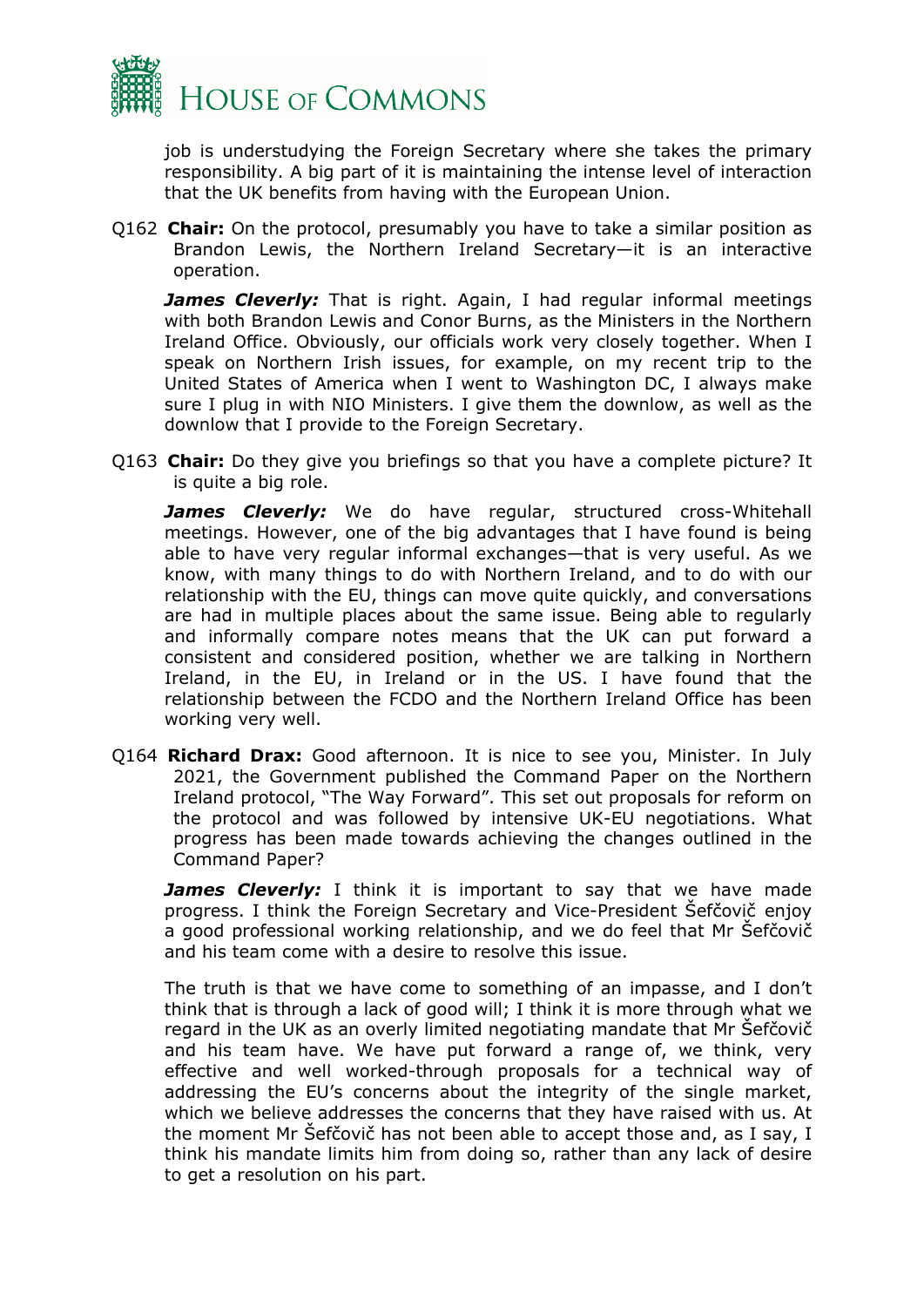

job is understudying the Foreign Secretary where she takes the primary responsibility. A big part of it is maintaining the intense level of interaction that the UK benefits from having with the European Union.

Q162 **Chair:** On the protocol, presumably you have to take a similar position as Brandon Lewis, the Northern Ireland Secretary—it is an interactive operation.

*James Cleverly:* That is right. Again, I had regular informal meetings with both Brandon Lewis and Conor Burns, as the Ministers in the Northern Ireland Office. Obviously, our officials work very closely together. When I speak on Northern Irish issues, for example, on my recent trip to the United States of America when I went to Washington DC, I always make sure I plug in with NIO Ministers. I give them the downlow, as well as the downlow that I provide to the Foreign Secretary.

Q163 **Chair:** Do they give you briefings so that you have a complete picture? It is quite a big role.

**James Cleverly:** We do have regular, structured cross-Whitehall meetings. However, one of the big advantages that I have found is being able to have very regular informal exchanges—that is very useful. As we know, with many things to do with Northern Ireland, and to do with our relationship with the EU, things can move quite quickly, and conversations are had in multiple places about the same issue. Being able to regularly and informally compare notes means that the UK can put forward a consistent and considered position, whether we are talking in Northern Ireland, in the EU, in Ireland or in the US. I have found that the relationship between the FCDO and the Northern Ireland Office has been working very well.

Q164 **Richard Drax:** Good afternoon. It is nice to see you, Minister. In July 2021, the Government published the Command Paper on the Northern Ireland protocol, "The Way Forward". This set out proposals for reform on the protocol and was followed by intensive UK-EU negotiations. What progress has been made towards achieving the changes outlined in the Command Paper?

**James Cleverly:** I think it is important to say that we have made progress. I think the Foreign Secretary and Vice-President Šefčovič enjoy a good professional working relationship, and we do feel that Mr Šefčovič and his team come with a desire to resolve this issue.

The truth is that we have come to something of an impasse, and I don't think that is through a lack of good will; I think it is more through what we regard in the UK as an overly limited negotiating mandate that Mr Šefčovič and his team have. We have put forward a range of, we think, very effective and well worked-through proposals for a technical way of addressing the EU's concerns about the integrity of the single market, which we believe addresses the concerns that they have raised with us. At the moment Mr Šefčovič has not been able to accept those and, as I say, I think his mandate limits him from doing so, rather than any lack of desire to get a resolution on his part.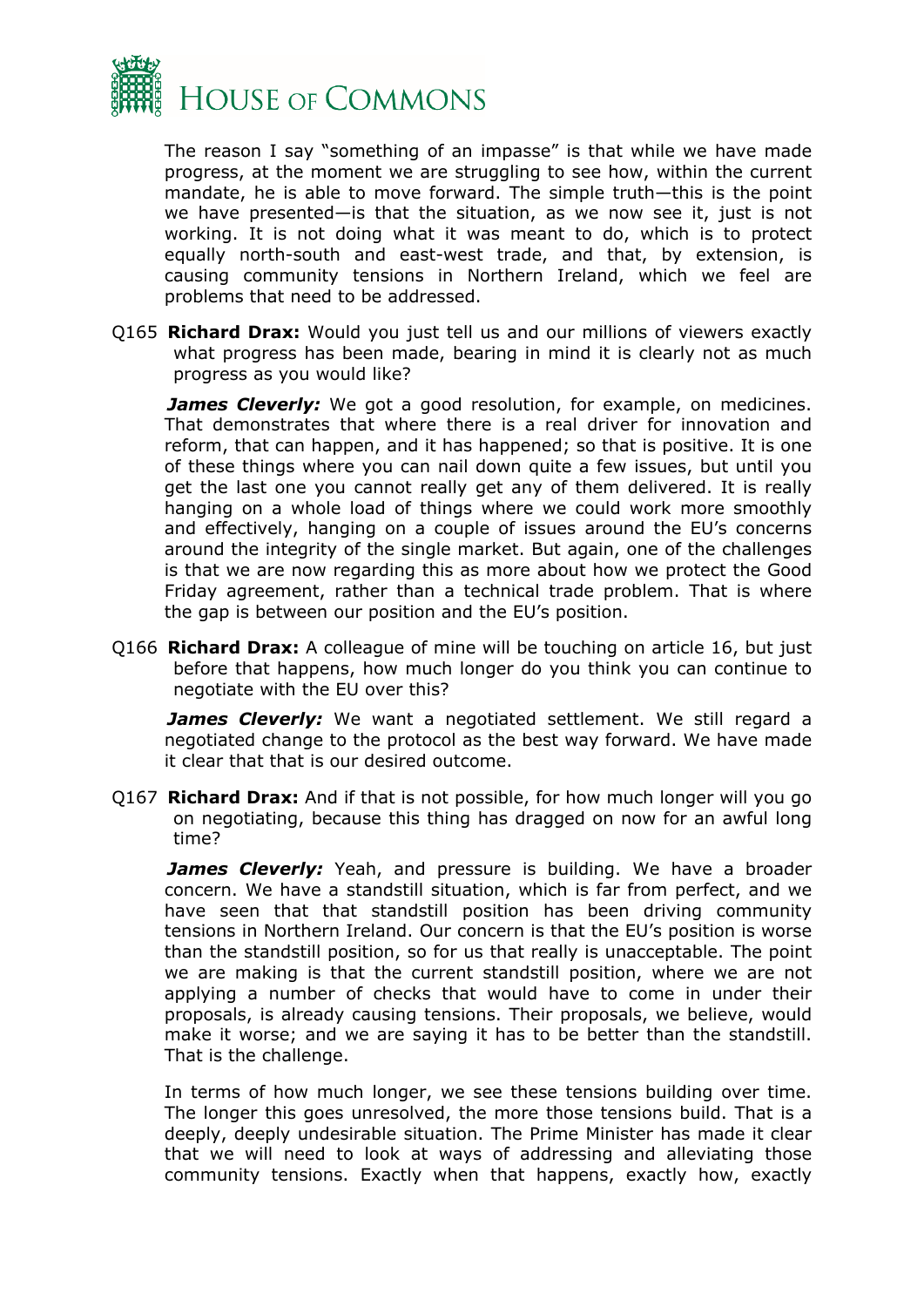

The reason I say "something of an impasse" is that while we have made progress, at the moment we are struggling to see how, within the current mandate, he is able to move forward. The simple truth—this is the point we have presented—is that the situation, as we now see it, just is not working. It is not doing what it was meant to do, which is to protect equally north-south and east-west trade, and that, by extension, is causing community tensions in Northern Ireland, which we feel are problems that need to be addressed.

Q165 **Richard Drax:** Would you just tell us and our millions of viewers exactly what progress has been made, bearing in mind it is clearly not as much progress as you would like?

*James Cleverly:* We got a good resolution, for example, on medicines. That demonstrates that where there is a real driver for innovation and reform, that can happen, and it has happened; so that is positive. It is one of these things where you can nail down quite a few issues, but until you get the last one you cannot really get any of them delivered. It is really hanging on a whole load of things where we could work more smoothly and effectively, hanging on a couple of issues around the EU's concerns around the integrity of the single market. But again, one of the challenges is that we are now regarding this as more about how we protect the Good Friday agreement, rather than a technical trade problem. That is where the gap is between our position and the EU's position.

Q166 **Richard Drax:** A colleague of mine will be touching on article 16, but just before that happens, how much longer do you think you can continue to negotiate with the EU over this?

*James Cleverly:* We want a negotiated settlement. We still regard a negotiated change to the protocol as the best way forward. We have made it clear that that is our desired outcome.

Q167 **Richard Drax:** And if that is not possible, for how much longer will you go on negotiating, because this thing has dragged on now for an awful long time?

**James Cleverly:** Yeah, and pressure is building. We have a broader concern. We have a standstill situation, which is far from perfect, and we have seen that that standstill position has been driving community tensions in Northern Ireland. Our concern is that the EU's position is worse than the standstill position, so for us that really is unacceptable. The point we are making is that the current standstill position, where we are not applying a number of checks that would have to come in under their proposals, is already causing tensions. Their proposals, we believe, would make it worse; and we are saying it has to be better than the standstill. That is the challenge.

In terms of how much longer, we see these tensions building over time. The longer this goes unresolved, the more those tensions build. That is a deeply, deeply undesirable situation. The Prime Minister has made it clear that we will need to look at ways of addressing and alleviating those community tensions. Exactly when that happens, exactly how, exactly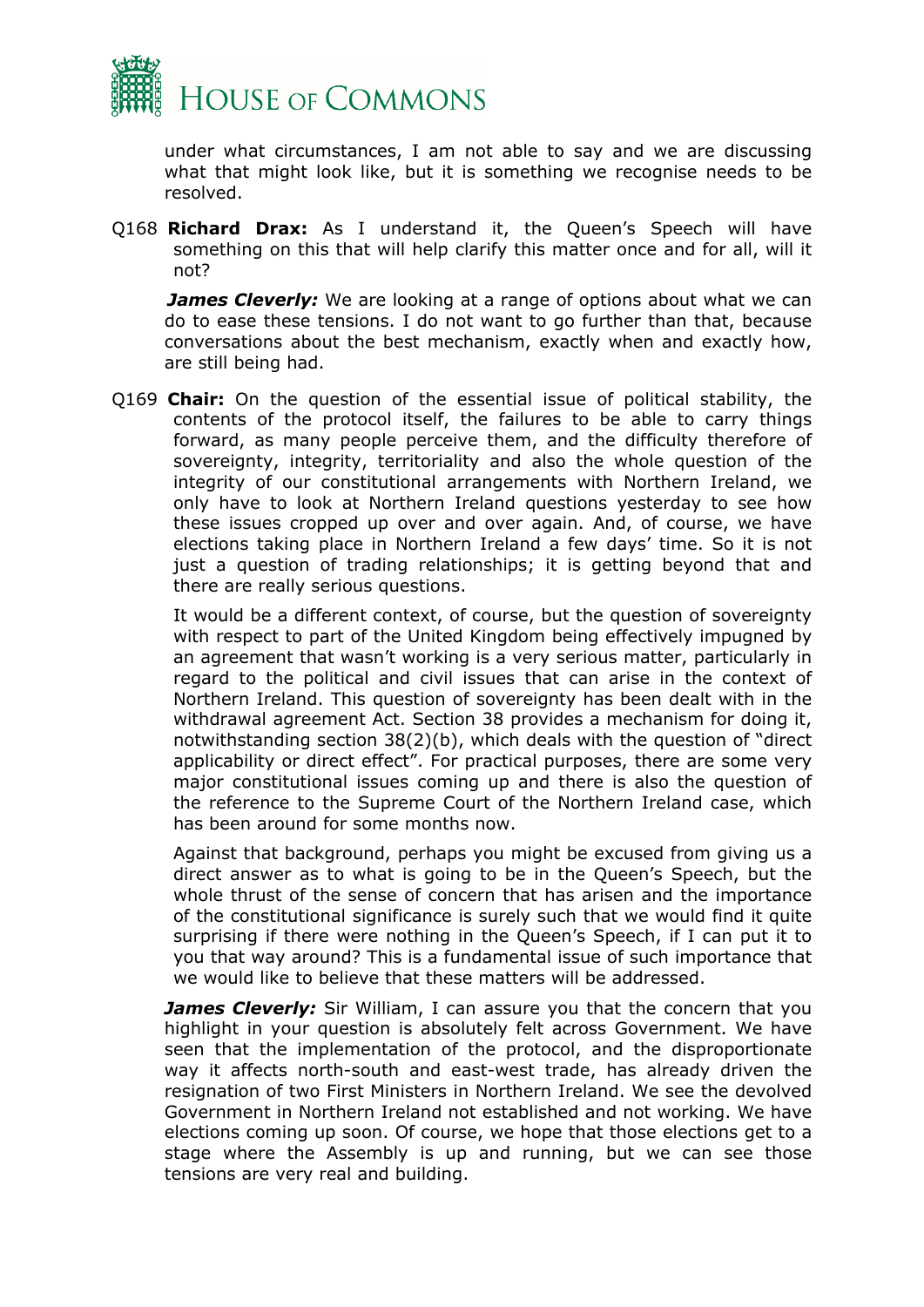

under what circumstances, I am not able to say and we are discussing what that might look like, but it is something we recognise needs to be resolved.

Q168 **Richard Drax:** As I understand it, the Queen's Speech will have something on this that will help clarify this matter once and for all, will it not?

*James Cleverly:* We are looking at a range of options about what we can do to ease these tensions. I do not want to go further than that, because conversations about the best mechanism, exactly when and exactly how, are still being had.

Q169 **Chair:** On the question of the essential issue of political stability, the contents of the protocol itself, the failures to be able to carry things forward, as many people perceive them, and the difficulty therefore of sovereignty, integrity, territoriality and also the whole question of the integrity of our constitutional arrangements with Northern Ireland, we only have to look at Northern Ireland questions yesterday to see how these issues cropped up over and over again. And, of course, we have elections taking place in Northern Ireland a few days' time. So it is not just a question of trading relationships; it is getting beyond that and there are really serious questions.

It would be a different context, of course, but the question of sovereignty with respect to part of the United Kingdom being effectively impugned by an agreement that wasn't working is a very serious matter, particularly in regard to the political and civil issues that can arise in the context of Northern Ireland. This question of sovereignty has been dealt with in the withdrawal agreement Act. Section 38 provides a mechanism for doing it, notwithstanding section 38(2)(b), which deals with the question of "direct applicability or direct effect". For practical purposes, there are some very major constitutional issues coming up and there is also the question of the reference to the Supreme Court of the Northern Ireland case, which has been around for some months now.

Against that background, perhaps you might be excused from giving us a direct answer as to what is going to be in the Queen's Speech, but the whole thrust of the sense of concern that has arisen and the importance of the constitutional significance is surely such that we would find it quite surprising if there were nothing in the Queen's Speech, if I can put it to you that way around? This is a fundamental issue of such importance that we would like to believe that these matters will be addressed.

*James Cleverly: Sir William, I can assure you that the concern that you* highlight in your question is absolutely felt across Government. We have seen that the implementation of the protocol, and the disproportionate way it affects north-south and east-west trade, has already driven the resignation of two First Ministers in Northern Ireland. We see the devolved Government in Northern Ireland not established and not working. We have elections coming up soon. Of course, we hope that those elections get to a stage where the Assembly is up and running, but we can see those tensions are very real and building.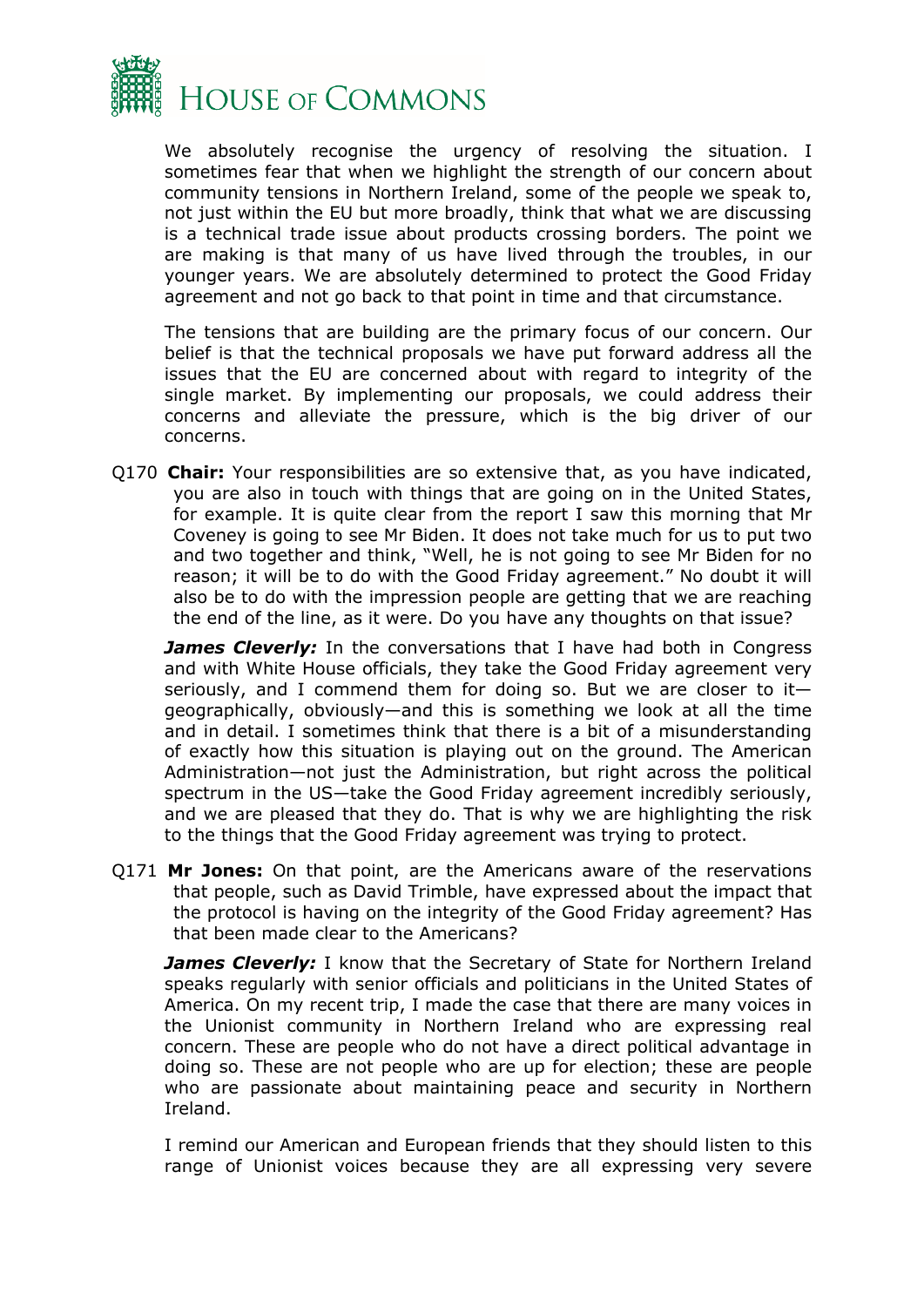

We absolutely recognise the urgency of resolving the situation. I sometimes fear that when we highlight the strength of our concern about community tensions in Northern Ireland, some of the people we speak to, not just within the EU but more broadly, think that what we are discussing is a technical trade issue about products crossing borders. The point we are making is that many of us have lived through the troubles, in our younger years. We are absolutely determined to protect the Good Friday agreement and not go back to that point in time and that circumstance.

The tensions that are building are the primary focus of our concern. Our belief is that the technical proposals we have put forward address all the issues that the EU are concerned about with regard to integrity of the single market. By implementing our proposals, we could address their concerns and alleviate the pressure, which is the big driver of our concerns.

Q170 **Chair:** Your responsibilities are so extensive that, as you have indicated, you are also in touch with things that are going on in the United States, for example. It is quite clear from the report I saw this morning that Mr Coveney is going to see Mr Biden. It does not take much for us to put two and two together and think, "Well, he is not going to see Mr Biden for no reason; it will be to do with the Good Friday agreement." No doubt it will also be to do with the impression people are getting that we are reaching the end of the line, as it were. Do you have any thoughts on that issue?

*James Cleverly:* In the conversations that I have had both in Congress and with White House officials, they take the Good Friday agreement very seriously, and I commend them for doing so. But we are closer to it geographically, obviously—and this is something we look at all the time and in detail. I sometimes think that there is a bit of a misunderstanding of exactly how this situation is playing out on the ground. The American Administration—not just the Administration, but right across the political spectrum in the US—take the Good Friday agreement incredibly seriously, and we are pleased that they do. That is why we are highlighting the risk to the things that the Good Friday agreement was trying to protect.

Q171 **Mr Jones:** On that point, are the Americans aware of the reservations that people, such as David Trimble, have expressed about the impact that the protocol is having on the integrity of the Good Friday agreement? Has that been made clear to the Americans?

**James Cleverly:** I know that the Secretary of State for Northern Ireland speaks regularly with senior officials and politicians in the United States of America. On my recent trip, I made the case that there are many voices in the Unionist community in Northern Ireland who are expressing real concern. These are people who do not have a direct political advantage in doing so. These are not people who are up for election; these are people who are passionate about maintaining peace and security in Northern Ireland.

I remind our American and European friends that they should listen to this range of Unionist voices because they are all expressing very severe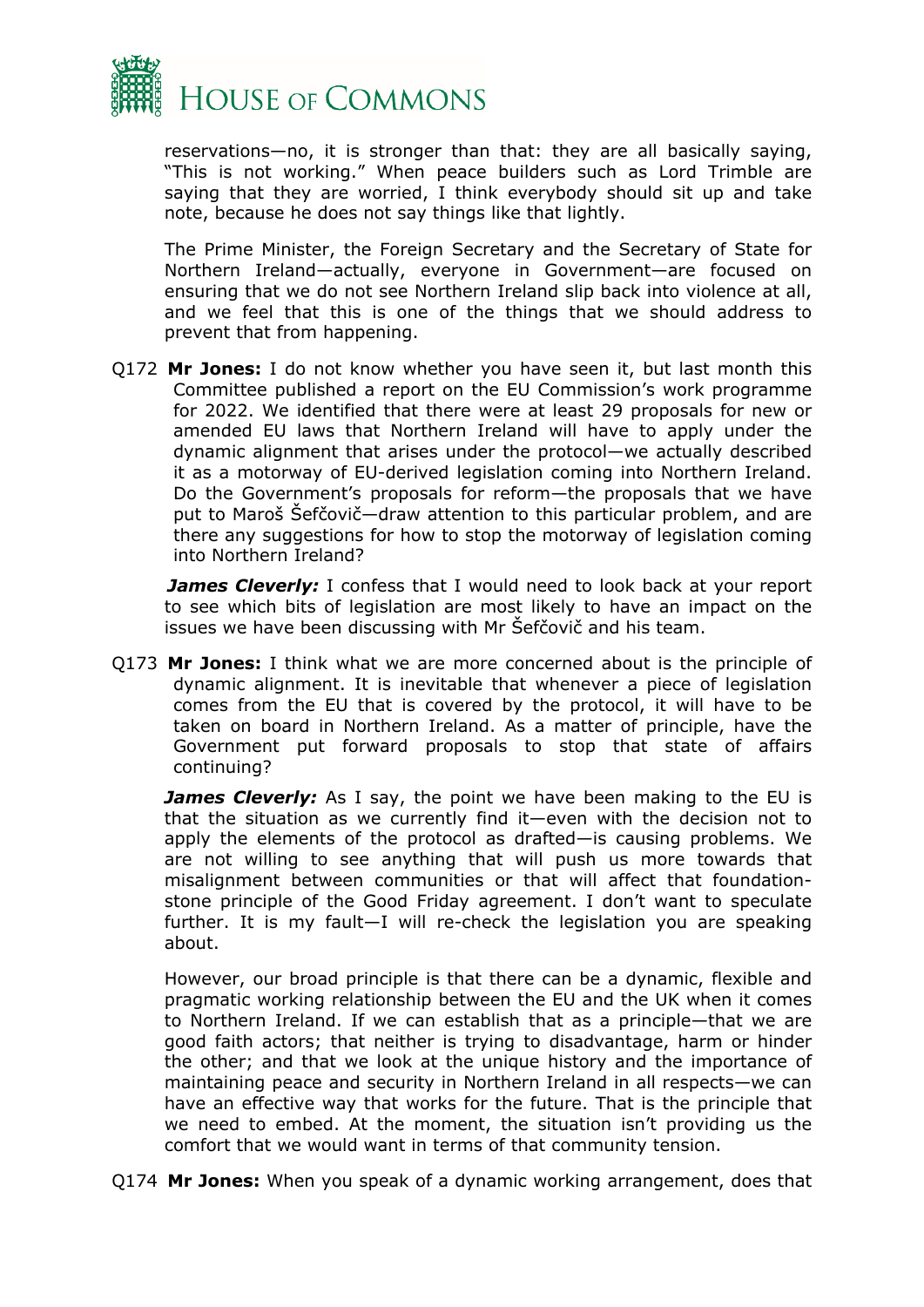

reservations—no, it is stronger than that: they are all basically saying, "This is not working." When peace builders such as Lord Trimble are saying that they are worried, I think everybody should sit up and take note, because he does not say things like that lightly.

The Prime Minister, the Foreign Secretary and the Secretary of State for Northern Ireland—actually, everyone in Government—are focused on ensuring that we do not see Northern Ireland slip back into violence at all, and we feel that this is one of the things that we should address to prevent that from happening.

Q172 **Mr Jones:** I do not know whether you have seen it, but last month this Committee published a report on the EU Commission's work programme for 2022. We identified that there were at least 29 proposals for new or amended EU laws that Northern Ireland will have to apply under the dynamic alignment that arises under the protocol—we actually described it as a motorway of EU-derived legislation coming into Northern Ireland. Do the Government's proposals for reform—the proposals that we have put to Maroš Šefčovič—draw attention to this particular problem, and are there any suggestions for how to stop the motorway of legislation coming into Northern Ireland?

*James Cleverly:* I confess that I would need to look back at your report to see which bits of legislation are most likely to have an impact on the issues we have been discussing with Mr Šefčovič and his team.

Q173 **Mr Jones:** I think what we are more concerned about is the principle of dynamic alignment. It is inevitable that whenever a piece of legislation comes from the EU that is covered by the protocol, it will have to be taken on board in Northern Ireland. As a matter of principle, have the Government put forward proposals to stop that state of affairs continuing?

*James Cleverly:* As I say, the point we have been making to the EU is that the situation as we currently find it—even with the decision not to apply the elements of the protocol as drafted—is causing problems. We are not willing to see anything that will push us more towards that misalignment between communities or that will affect that foundationstone principle of the Good Friday agreement. I don't want to speculate further. It is my fault—I will re-check the legislation you are speaking about.

However, our broad principle is that there can be a dynamic, flexible and pragmatic working relationship between the EU and the UK when it comes to Northern Ireland. If we can establish that as a principle—that we are good faith actors; that neither is trying to disadvantage, harm or hinder the other; and that we look at the unique history and the importance of maintaining peace and security in Northern Ireland in all respects—we can have an effective way that works for the future. That is the principle that we need to embed. At the moment, the situation isn't providing us the comfort that we would want in terms of that community tension.

Q174 **Mr Jones:** When you speak of a dynamic working arrangement, does that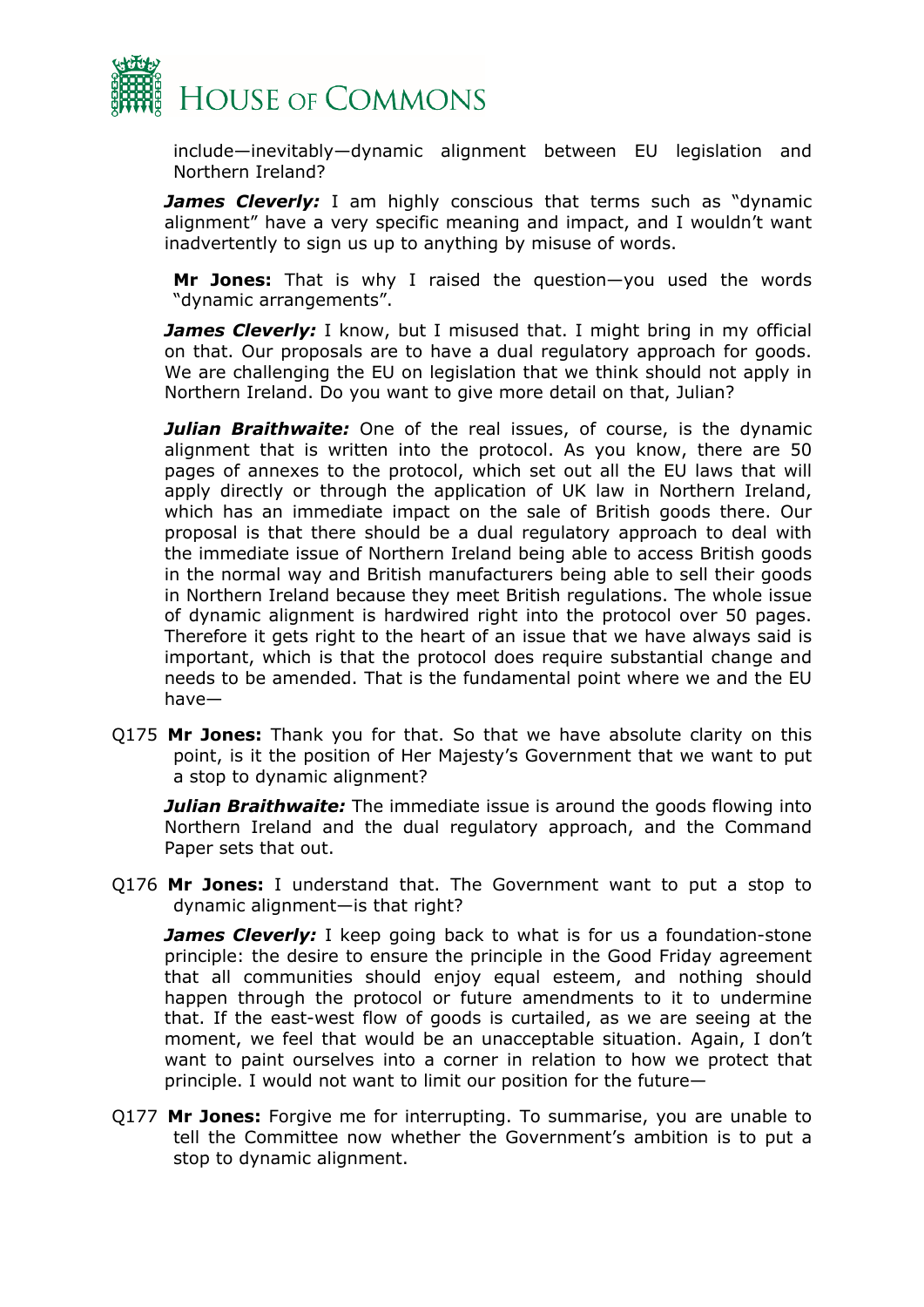

include—inevitably—dynamic alignment between EU legislation and Northern Ireland?

*James Cleverly:* I am highly conscious that terms such as "dynamic alignment" have a very specific meaning and impact, and I wouldn't want inadvertently to sign us up to anything by misuse of words.

**Mr Jones:** That is why I raised the question—you used the words "dynamic arrangements".

*James Cleverly:* I know, but I misused that. I might bring in my official on that. Our proposals are to have a dual regulatory approach for goods. We are challenging the EU on legislation that we think should not apply in Northern Ireland. Do you want to give more detail on that, Julian?

**Julian Braithwaite:** One of the real issues, of course, is the dynamic alignment that is written into the protocol. As you know, there are 50 pages of annexes to the protocol, which set out all the EU laws that will apply directly or through the application of UK law in Northern Ireland, which has an immediate impact on the sale of British goods there. Our proposal is that there should be a dual regulatory approach to deal with the immediate issue of Northern Ireland being able to access British goods in the normal way and British manufacturers being able to sell their goods in Northern Ireland because they meet British regulations. The whole issue of dynamic alignment is hardwired right into the protocol over 50 pages. Therefore it gets right to the heart of an issue that we have always said is important, which is that the protocol does require substantial change and needs to be amended. That is the fundamental point where we and the EU have—

Q175 **Mr Jones:** Thank you for that. So that we have absolute clarity on this point, is it the position of Her Majesty's Government that we want to put a stop to dynamic alignment?

*Julian Braithwaite:* The immediate issue is around the goods flowing into Northern Ireland and the dual regulatory approach, and the Command Paper sets that out.

Q176 **Mr Jones:** I understand that. The Government want to put a stop to dynamic alignment—is that right?

*James Cleverly:* I keep going back to what is for us a foundation-stone principle: the desire to ensure the principle in the Good Friday agreement that all communities should enjoy equal esteem, and nothing should happen through the protocol or future amendments to it to undermine that. If the east-west flow of goods is curtailed, as we are seeing at the moment, we feel that would be an unacceptable situation. Again, I don't want to paint ourselves into a corner in relation to how we protect that principle. I would not want to limit our position for the future—

Q177 **Mr Jones:** Forgive me for interrupting. To summarise, you are unable to tell the Committee now whether the Government's ambition is to put a stop to dynamic alignment.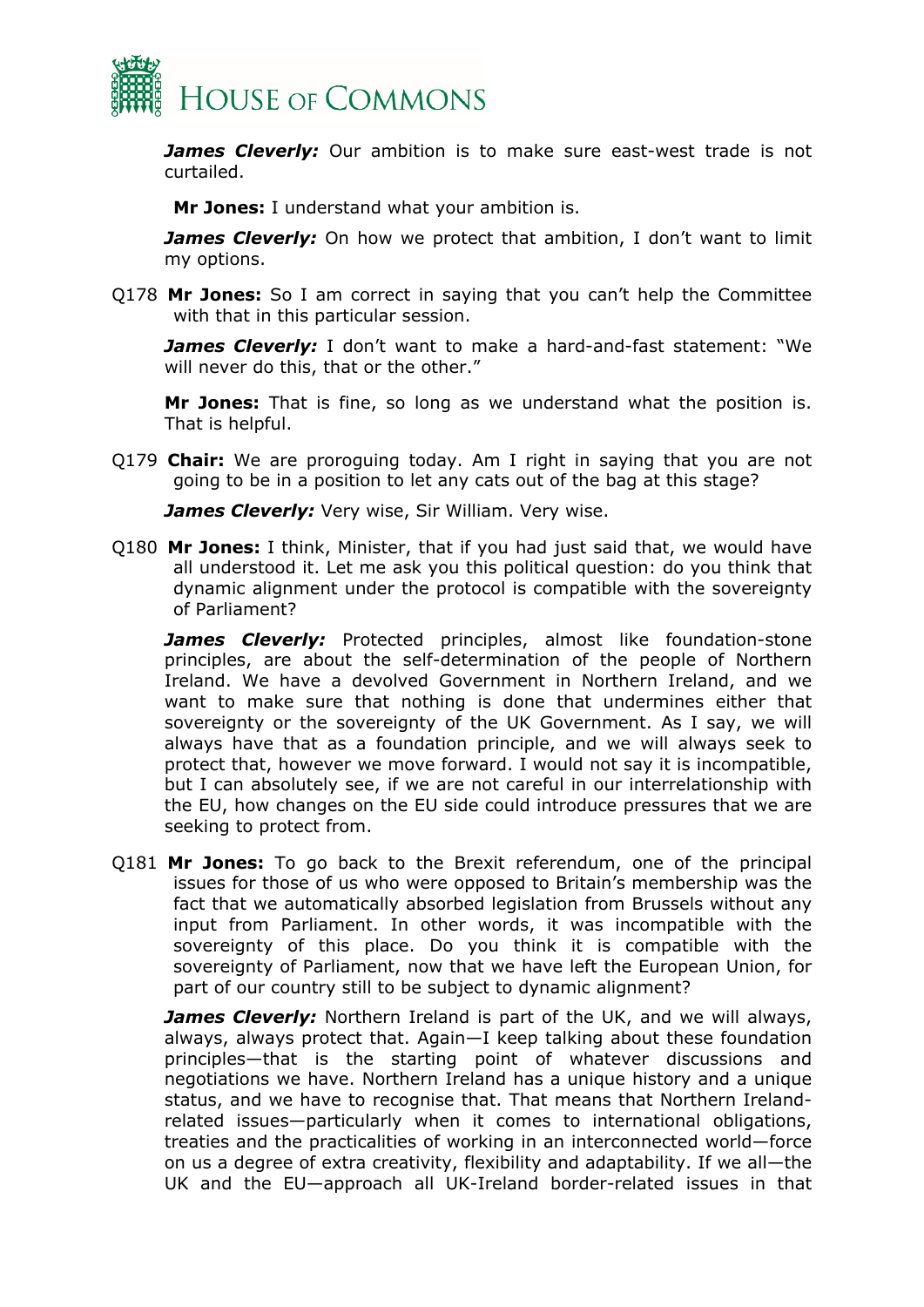

*James Cleverly:* Our ambition is to make sure east-west trade is not curtailed.

**Mr Jones:** I understand what your ambition is.

*James Cleverly:* On how we protect that ambition, I don't want to limit my options.

Q178 **Mr Jones:** So I am correct in saying that you can't help the Committee with that in this particular session.

*James Cleverly:* I don't want to make a hard-and-fast statement: "We will never do this, that or the other."

**Mr Jones:** That is fine, so long as we understand what the position is. That is helpful.

Q179 **Chair:** We are proroguing today. Am I right in saying that you are not going to be in a position to let any cats out of the bag at this stage?

*James Cleverly: Very wise, Sir William. Very wise.* 

Q180 **Mr Jones:** I think, Minister, that if you had just said that, we would have all understood it. Let me ask you this political question: do you think that dynamic alignment under the protocol is compatible with the sovereignty of Parliament?

*James Cleverly:* Protected principles, almost like foundation-stone principles, are about the self-determination of the people of Northern Ireland. We have a devolved Government in Northern Ireland, and we want to make sure that nothing is done that undermines either that sovereignty or the sovereignty of the UK Government. As I say, we will always have that as a foundation principle, and we will always seek to protect that, however we move forward. I would not say it is incompatible, but I can absolutely see, if we are not careful in our interrelationship with the EU, how changes on the EU side could introduce pressures that we are seeking to protect from.

Q181 **Mr Jones:** To go back to the Brexit referendum, one of the principal issues for those of us who were opposed to Britain's membership was the fact that we automatically absorbed legislation from Brussels without any input from Parliament. In other words, it was incompatible with the sovereignty of this place. Do you think it is compatible with the sovereignty of Parliament, now that we have left the European Union, for part of our country still to be subject to dynamic alignment?

*James Cleverly:* Northern Ireland is part of the UK, and we will always, always, always protect that. Again—I keep talking about these foundation principles—that is the starting point of whatever discussions and negotiations we have. Northern Ireland has a unique history and a unique status, and we have to recognise that. That means that Northern Irelandrelated issues—particularly when it comes to international obligations, treaties and the practicalities of working in an interconnected world—force on us a degree of extra creativity, flexibility and adaptability. If we all—the UK and the EU—approach all UK-Ireland border-related issues in that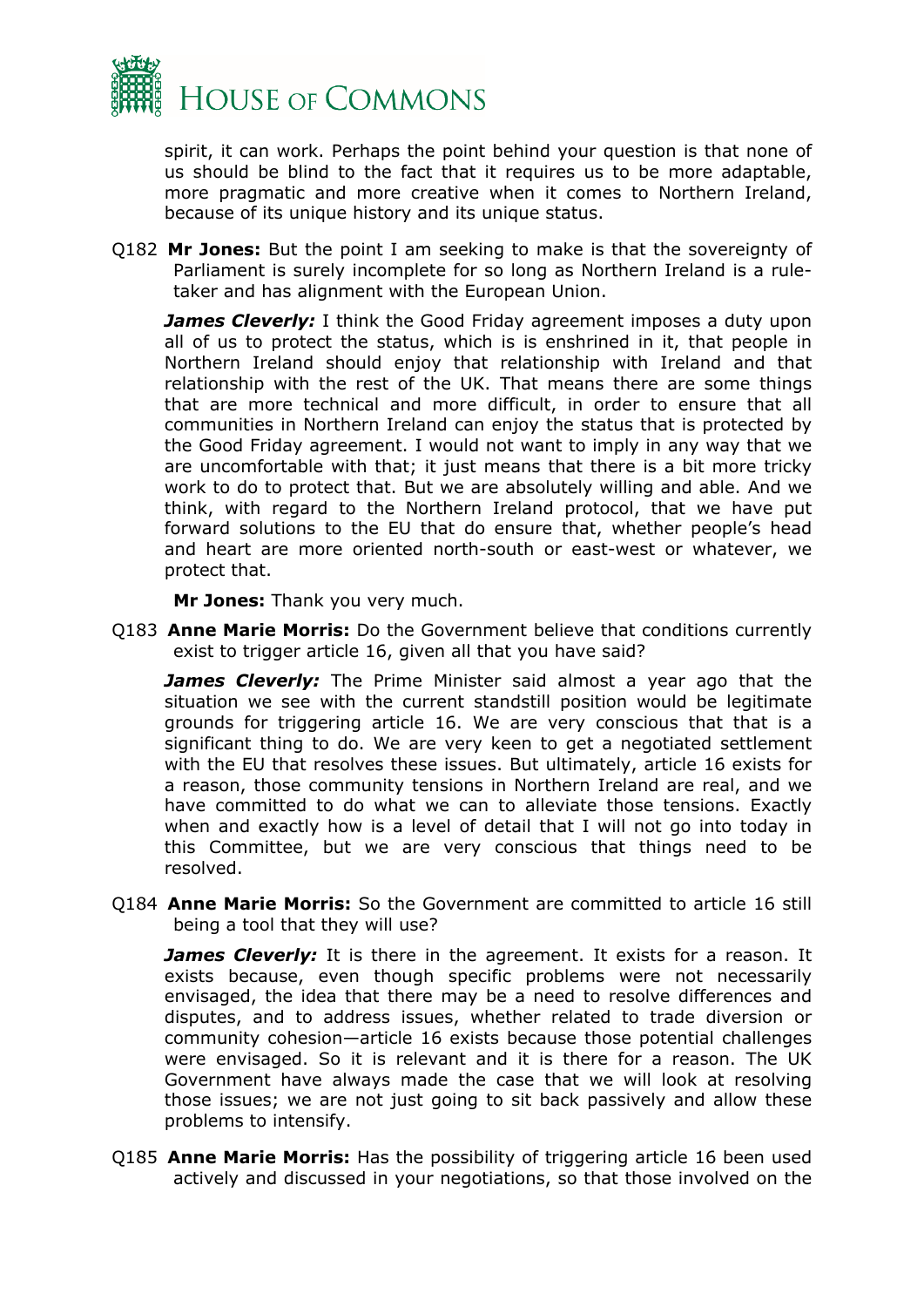

spirit, it can work. Perhaps the point behind your question is that none of us should be blind to the fact that it requires us to be more adaptable, more pragmatic and more creative when it comes to Northern Ireland, because of its unique history and its unique status.

Q182 **Mr Jones:** But the point I am seeking to make is that the sovereignty of Parliament is surely incomplete for so long as Northern Ireland is a ruletaker and has alignment with the European Union.

*James Cleverly:* I think the Good Friday agreement imposes a duty upon all of us to protect the status, which is is enshrined in it, that people in Northern Ireland should enjoy that relationship with Ireland and that relationship with the rest of the UK. That means there are some things that are more technical and more difficult, in order to ensure that all communities in Northern Ireland can enjoy the status that is protected by the Good Friday agreement. I would not want to imply in any way that we are uncomfortable with that; it just means that there is a bit more tricky work to do to protect that. But we are absolutely willing and able. And we think, with regard to the Northern Ireland protocol, that we have put forward solutions to the EU that do ensure that, whether people's head and heart are more oriented north-south or east-west or whatever, we protect that.

**Mr Jones:** Thank you very much.

Q183 **Anne Marie Morris:** Do the Government believe that conditions currently exist to trigger article 16, given all that you have said?

*James Cleverly:* The Prime Minister said almost a year ago that the situation we see with the current standstill position would be legitimate grounds for triggering article 16. We are very conscious that that is a significant thing to do. We are very keen to get a negotiated settlement with the EU that resolves these issues. But ultimately, article 16 exists for a reason, those community tensions in Northern Ireland are real, and we have committed to do what we can to alleviate those tensions. Exactly when and exactly how is a level of detail that I will not go into today in this Committee, but we are very conscious that things need to be resolved.

Q184 **Anne Marie Morris:** So the Government are committed to article 16 still being a tool that they will use?

*James Cleverly:* It is there in the agreement. It exists for a reason. It exists because, even though specific problems were not necessarily envisaged, the idea that there may be a need to resolve differences and disputes, and to address issues, whether related to trade diversion or community cohesion—article 16 exists because those potential challenges were envisaged. So it is relevant and it is there for a reason. The UK Government have always made the case that we will look at resolving those issues; we are not just going to sit back passively and allow these problems to intensify.

Q185 **Anne Marie Morris:** Has the possibility of triggering article 16 been used actively and discussed in your negotiations, so that those involved on the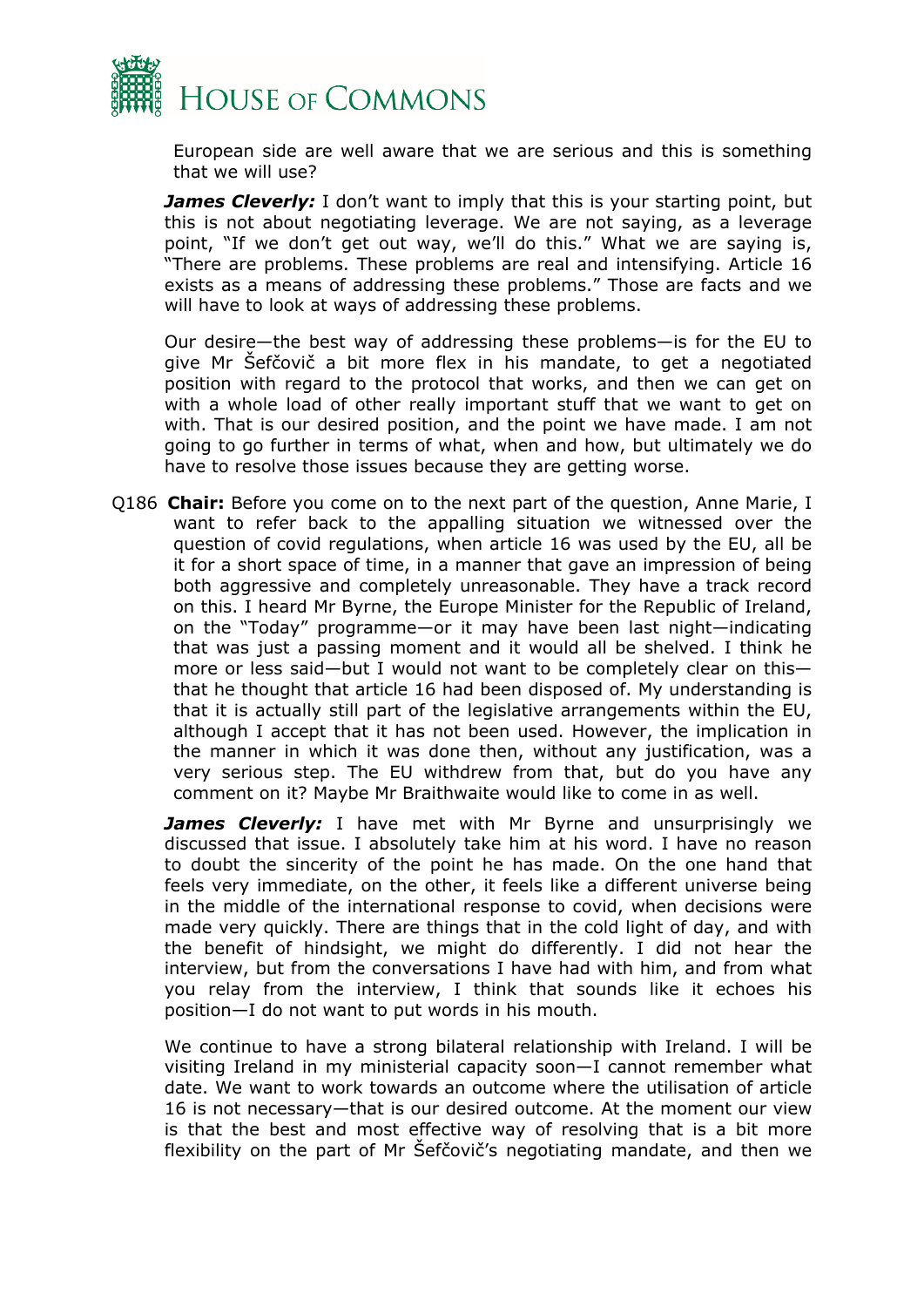

European side are well aware that we are serious and this is something that we will use?

*James Cleverly:* I don't want to imply that this is your starting point, but this is not about negotiating leverage. We are not saying, as a leverage point, "If we don't get out way, we'll do this." What we are saying is, "There are problems. These problems are real and intensifying. Article 16 exists as a means of addressing these problems." Those are facts and we will have to look at ways of addressing these problems.

Our desire—the best way of addressing these problems—is for the EU to give Mr Šefčovič a bit more flex in his mandate, to get a negotiated position with regard to the protocol that works, and then we can get on with a whole load of other really important stuff that we want to get on with. That is our desired position, and the point we have made. I am not going to go further in terms of what, when and how, but ultimately we do have to resolve those issues because they are getting worse.

Q186 **Chair:** Before you come on to the next part of the question, Anne Marie, I want to refer back to the appalling situation we witnessed over the question of covid regulations, when article 16 was used by the EU, all be it for a short space of time, in a manner that gave an impression of being both aggressive and completely unreasonable. They have a track record on this. I heard Mr Byrne, the Europe Minister for the Republic of Ireland, on the "Today" programme—or it may have been last night—indicating that was just a passing moment and it would all be shelved. I think he more or less said—but I would not want to be completely clear on this that he thought that article 16 had been disposed of. My understanding is that it is actually still part of the legislative arrangements within the EU, although I accept that it has not been used. However, the implication in the manner in which it was done then, without any justification, was a very serious step. The EU withdrew from that, but do you have any comment on it? Maybe Mr Braithwaite would like to come in as well.

*James Cleverly:* I have met with Mr Byrne and unsurprisingly we discussed that issue. I absolutely take him at his word. I have no reason to doubt the sincerity of the point he has made. On the one hand that feels very immediate, on the other, it feels like a different universe being in the middle of the international response to covid, when decisions were made very quickly. There are things that in the cold light of day, and with the benefit of hindsight, we might do differently. I did not hear the interview, but from the conversations I have had with him, and from what you relay from the interview, I think that sounds like it echoes his position—I do not want to put words in his mouth.

We continue to have a strong bilateral relationship with Ireland. I will be visiting Ireland in my ministerial capacity soon—I cannot remember what date. We want to work towards an outcome where the utilisation of article 16 is not necessary—that is our desired outcome. At the moment our view is that the best and most effective way of resolving that is a bit more flexibility on the part of Mr Šefčovič's negotiating mandate, and then we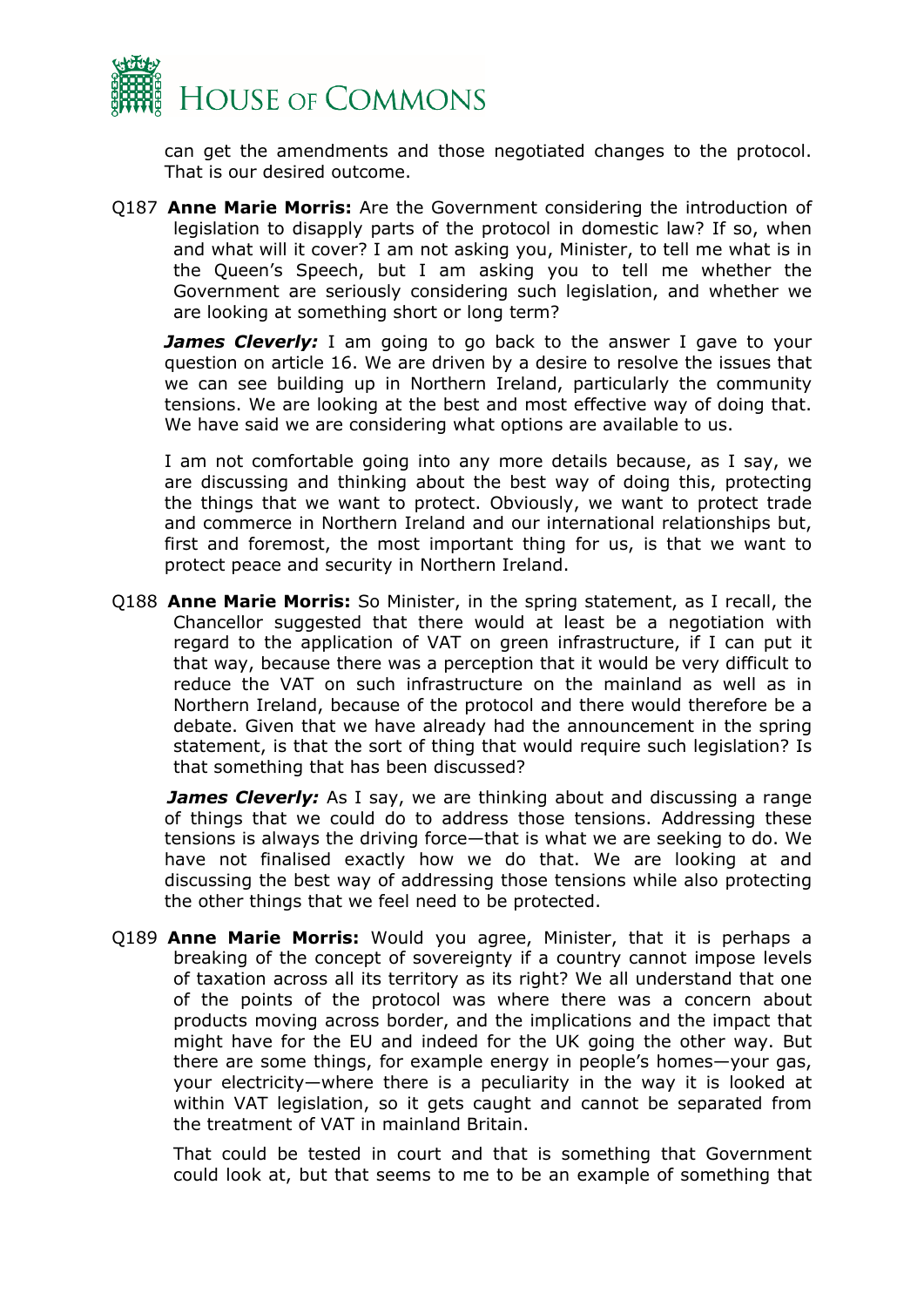

can get the amendments and those negotiated changes to the protocol. That is our desired outcome.

Q187 **Anne Marie Morris:** Are the Government considering the introduction of legislation to disapply parts of the protocol in domestic law? If so, when and what will it cover? I am not asking you, Minister, to tell me what is in the Queen's Speech, but I am asking you to tell me whether the Government are seriously considering such legislation, and whether we are looking at something short or long term?

*James Cleverly:* I am going to go back to the answer I gave to your question on article 16. We are driven by a desire to resolve the issues that we can see building up in Northern Ireland, particularly the community tensions. We are looking at the best and most effective way of doing that. We have said we are considering what options are available to us.

I am not comfortable going into any more details because, as I say, we are discussing and thinking about the best way of doing this, protecting the things that we want to protect. Obviously, we want to protect trade and commerce in Northern Ireland and our international relationships but, first and foremost, the most important thing for us, is that we want to protect peace and security in Northern Ireland.

Q188 **Anne Marie Morris:** So Minister, in the spring statement, as I recall, the Chancellor suggested that there would at least be a negotiation with regard to the application of VAT on green infrastructure, if I can put it that way, because there was a perception that it would be very difficult to reduce the VAT on such infrastructure on the mainland as well as in Northern Ireland, because of the protocol and there would therefore be a debate. Given that we have already had the announcement in the spring statement, is that the sort of thing that would require such legislation? Is that something that has been discussed?

*James Cleverly:* As I say, we are thinking about and discussing a range of things that we could do to address those tensions. Addressing these tensions is always the driving force—that is what we are seeking to do. We have not finalised exactly how we do that. We are looking at and discussing the best way of addressing those tensions while also protecting the other things that we feel need to be protected.

Q189 **Anne Marie Morris:** Would you agree, Minister, that it is perhaps a breaking of the concept of sovereignty if a country cannot impose levels of taxation across all its territory as its right? We all understand that one of the points of the protocol was where there was a concern about products moving across border, and the implications and the impact that might have for the EU and indeed for the UK going the other way. But there are some things, for example energy in people's homes—your gas, your electricity—where there is a peculiarity in the way it is looked at within VAT legislation, so it gets caught and cannot be separated from the treatment of VAT in mainland Britain.

That could be tested in court and that is something that Government could look at, but that seems to me to be an example of something that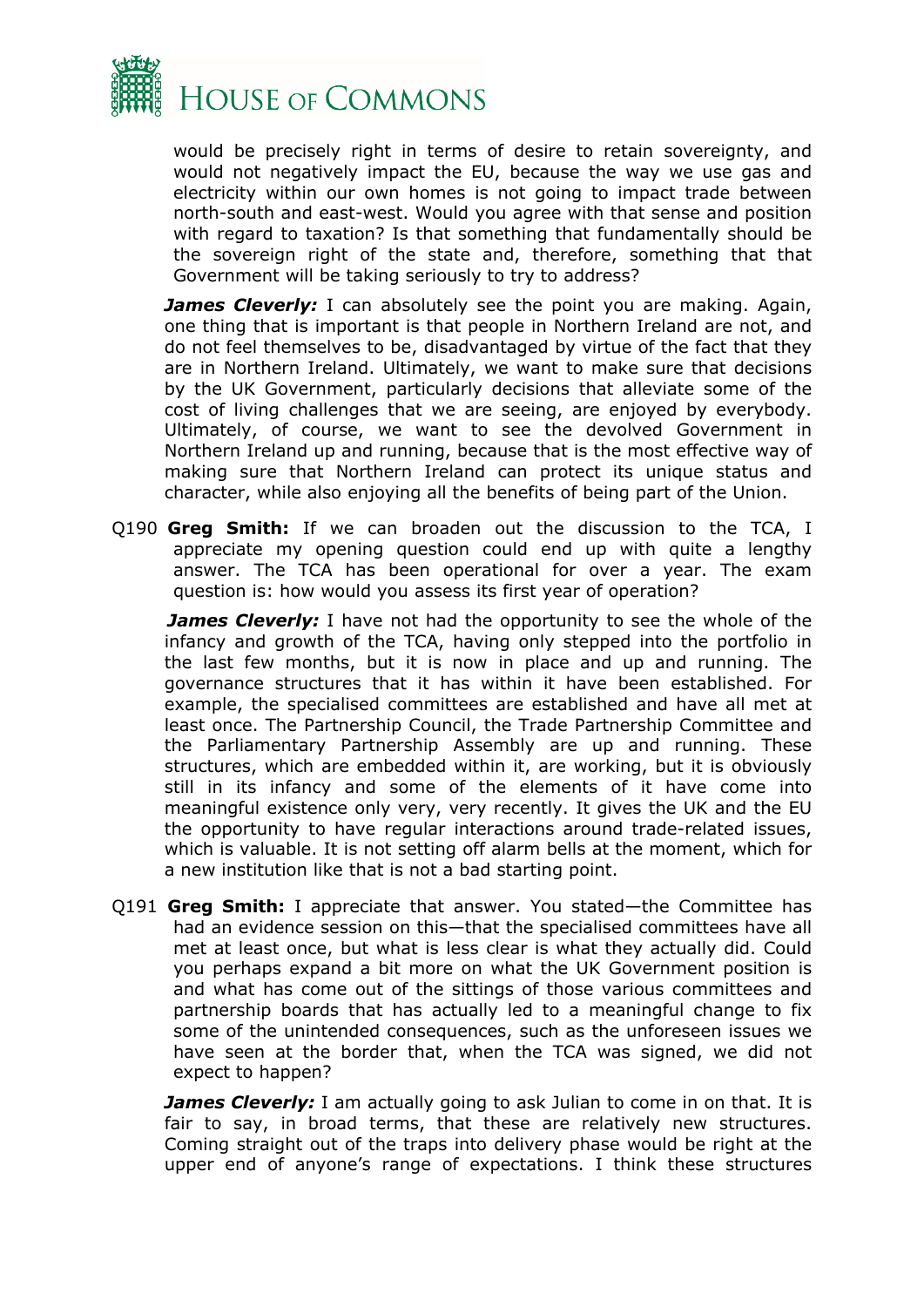

would be precisely right in terms of desire to retain sovereignty, and would not negatively impact the EU, because the way we use gas and electricity within our own homes is not going to impact trade between north-south and east-west. Would you agree with that sense and position with regard to taxation? Is that something that fundamentally should be the sovereign right of the state and, therefore, something that that Government will be taking seriously to try to address?

*James Cleverly:* I can absolutely see the point you are making. Again, one thing that is important is that people in Northern Ireland are not, and do not feel themselves to be, disadvantaged by virtue of the fact that they are in Northern Ireland. Ultimately, we want to make sure that decisions by the UK Government, particularly decisions that alleviate some of the cost of living challenges that we are seeing, are enjoyed by everybody. Ultimately, of course, we want to see the devolved Government in Northern Ireland up and running, because that is the most effective way of making sure that Northern Ireland can protect its unique status and character, while also enjoying all the benefits of being part of the Union.

Q190 **Greg Smith:** If we can broaden out the discussion to the TCA, I appreciate my opening question could end up with quite a lengthy answer. The TCA has been operational for over a year. The exam question is: how would you assess its first year of operation?

*James Cleverly:* I have not had the opportunity to see the whole of the infancy and growth of the TCA, having only stepped into the portfolio in the last few months, but it is now in place and up and running. The governance structures that it has within it have been established. For example, the specialised committees are established and have all met at least once. The Partnership Council, the Trade Partnership Committee and the Parliamentary Partnership Assembly are up and running. These structures, which are embedded within it, are working, but it is obviously still in its infancy and some of the elements of it have come into meaningful existence only very, very recently. It gives the UK and the EU the opportunity to have regular interactions around trade-related issues, which is valuable. It is not setting off alarm bells at the moment, which for a new institution like that is not a bad starting point.

Q191 **Greg Smith:** I appreciate that answer. You stated—the Committee has had an evidence session on this—that the specialised committees have all met at least once, but what is less clear is what they actually did. Could you perhaps expand a bit more on what the UK Government position is and what has come out of the sittings of those various committees and partnership boards that has actually led to a meaningful change to fix some of the unintended consequences, such as the unforeseen issues we have seen at the border that, when the TCA was signed, we did not expect to happen?

*James Cleverly:* I am actually going to ask Julian to come in on that. It is fair to say, in broad terms, that these are relatively new structures. Coming straight out of the traps into delivery phase would be right at the upper end of anyone's range of expectations. I think these structures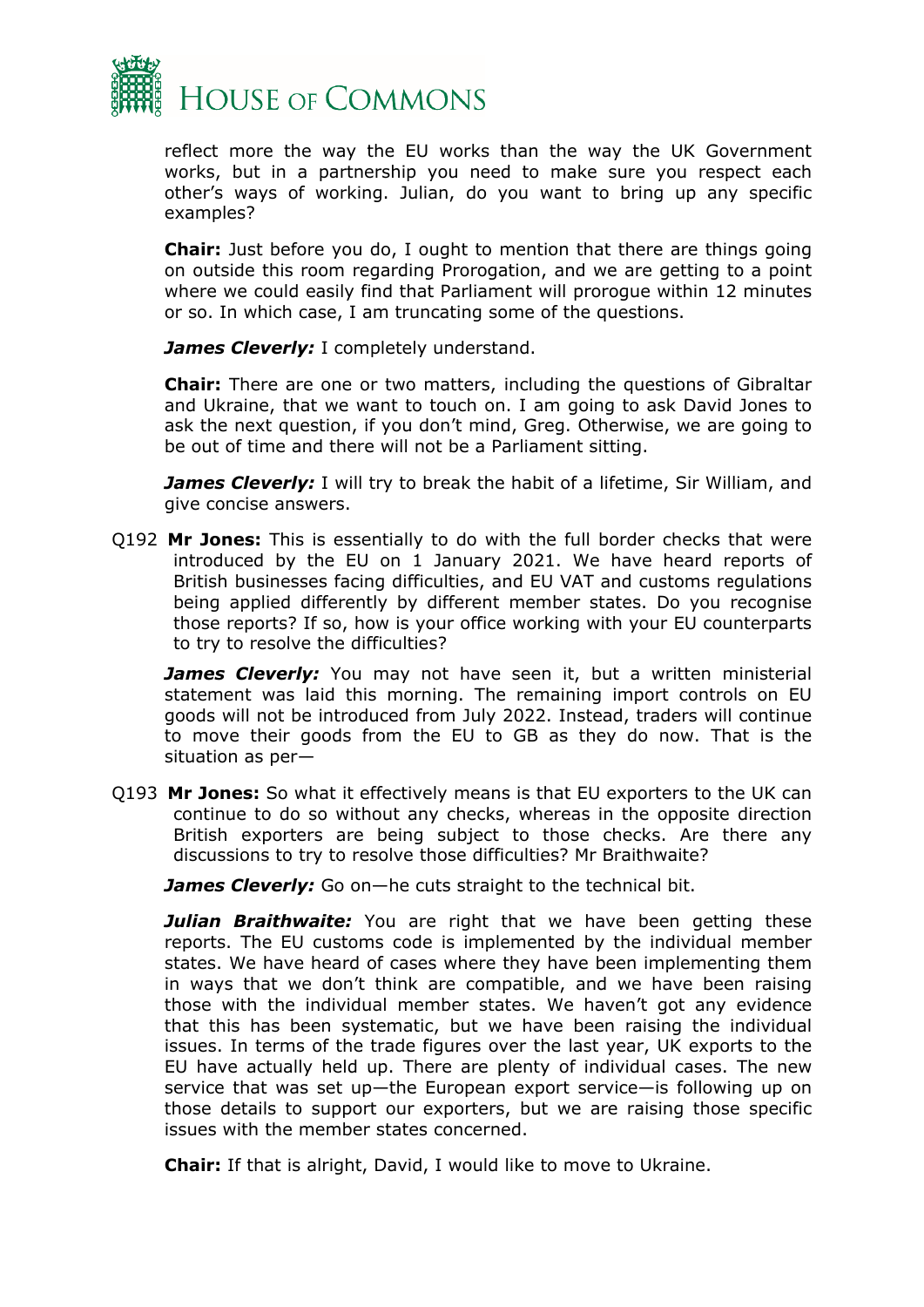

reflect more the way the EU works than the way the UK Government works, but in a partnership you need to make sure you respect each other's ways of working. Julian, do you want to bring up any specific examples?

**Chair:** Just before you do, I ought to mention that there are things going on outside this room regarding Prorogation, and we are getting to a point where we could easily find that Parliament will prorogue within 12 minutes or so. In which case, I am truncating some of the questions.

*James Cleverly: I completely understand.* 

**Chair:** There are one or two matters, including the questions of Gibraltar and Ukraine, that we want to touch on. I am going to ask David Jones to ask the next question, if you don't mind, Greg. Otherwise, we are going to be out of time and there will not be a Parliament sitting.

*James Cleverly:* I will try to break the habit of a lifetime, Sir William, and give concise answers.

Q192 **Mr Jones:** This is essentially to do with the full border checks that were introduced by the EU on 1 January 2021. We have heard reports of British businesses facing difficulties, and EU VAT and customs regulations being applied differently by different member states. Do you recognise those reports? If so, how is your office working with your EU counterparts to try to resolve the difficulties?

*James Cleverly:* You may not have seen it, but a written ministerial statement was laid this morning. The remaining import controls on EU goods will not be introduced from July 2022. Instead, traders will continue to move their goods from the EU to GB as they do now. That is the situation as per—

Q193 **Mr Jones:** So what it effectively means is that EU exporters to the UK can continue to do so without any checks, whereas in the opposite direction British exporters are being subject to those checks. Are there any discussions to try to resolve those difficulties? Mr Braithwaite?

*James Cleverly:* Go on—he cuts straight to the technical bit.

*Julian Braithwaite:* You are right that we have been getting these reports. The EU customs code is implemented by the individual member states. We have heard of cases where they have been implementing them in ways that we don't think are compatible, and we have been raising those with the individual member states. We haven't got any evidence that this has been systematic, but we have been raising the individual issues. In terms of the trade figures over the last year, UK exports to the EU have actually held up. There are plenty of individual cases. The new service that was set up—the European export service—is following up on those details to support our exporters, but we are raising those specific issues with the member states concerned.

**Chair:** If that is alright, David, I would like to move to Ukraine.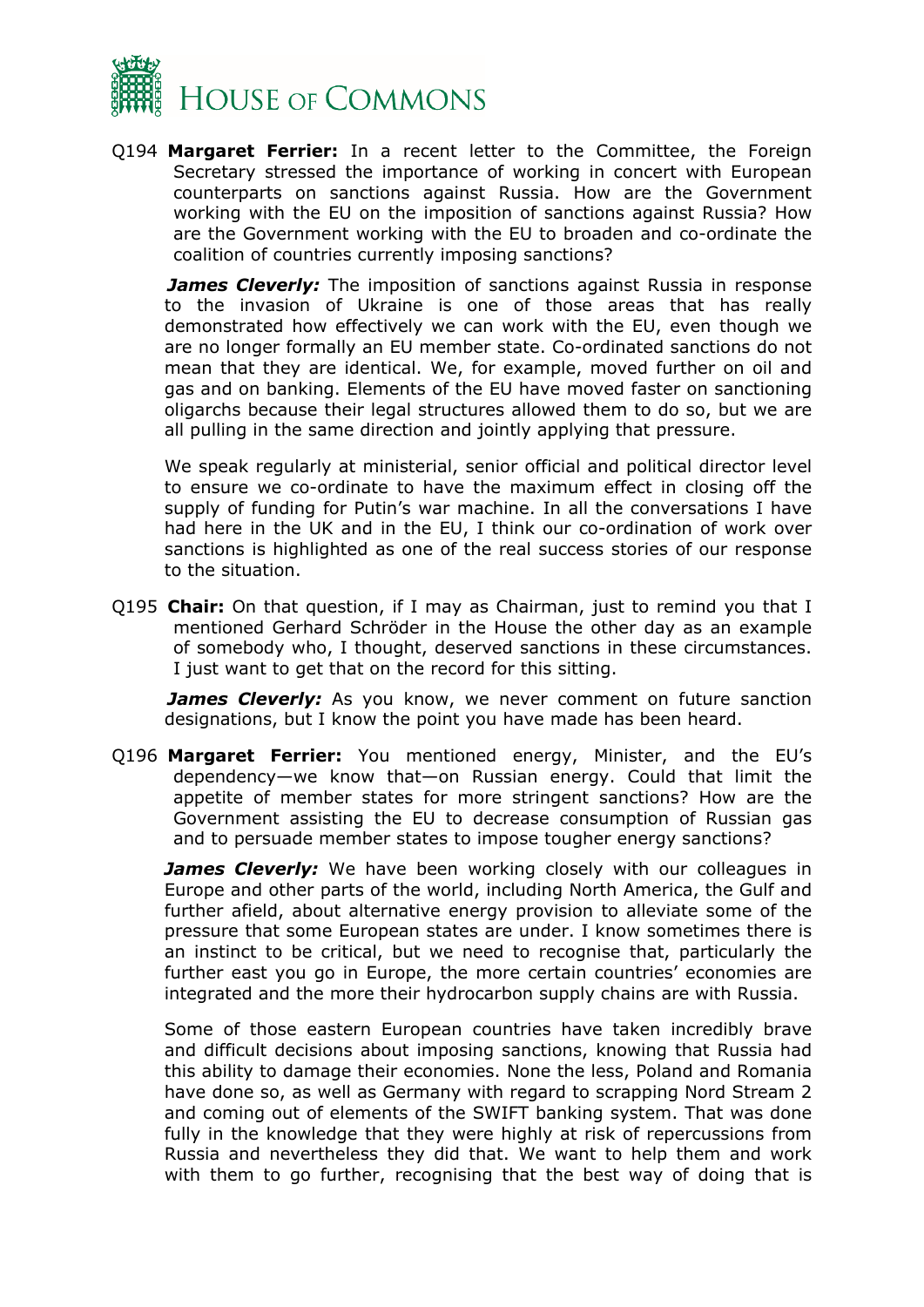

Q194 **Margaret Ferrier:** In a recent letter to the Committee, the Foreign Secretary stressed the importance of working in concert with European counterparts on sanctions against Russia. How are the Government working with the EU on the imposition of sanctions against Russia? How are the Government working with the EU to broaden and co-ordinate the coalition of countries currently imposing sanctions?

*James Cleverly:* The imposition of sanctions against Russia in response to the invasion of Ukraine is one of those areas that has really demonstrated how effectively we can work with the EU, even though we are no longer formally an EU member state. Co-ordinated sanctions do not mean that they are identical. We, for example, moved further on oil and gas and on banking. Elements of the EU have moved faster on sanctioning oligarchs because their legal structures allowed them to do so, but we are all pulling in the same direction and jointly applying that pressure.

We speak regularly at ministerial, senior official and political director level to ensure we co-ordinate to have the maximum effect in closing off the supply of funding for Putin's war machine. In all the conversations I have had here in the UK and in the EU, I think our co-ordination of work over sanctions is highlighted as one of the real success stories of our response to the situation.

Q195 **Chair:** On that question, if I may as Chairman, just to remind you that I mentioned Gerhard Schröder in the House the other day as an example of somebody who, I thought, deserved sanctions in these circumstances. I just want to get that on the record for this sitting.

*James Cleverly:* As you know, we never comment on future sanction designations, but I know the point you have made has been heard.

Q196 **Margaret Ferrier:** You mentioned energy, Minister, and the EU's dependency—we know that—on Russian energy. Could that limit the appetite of member states for more stringent sanctions? How are the Government assisting the EU to decrease consumption of Russian gas and to persuade member states to impose tougher energy sanctions?

*James Cleverly:* We have been working closely with our colleagues in Europe and other parts of the world, including North America, the Gulf and further afield, about alternative energy provision to alleviate some of the pressure that some European states are under. I know sometimes there is an instinct to be critical, but we need to recognise that, particularly the further east you go in Europe, the more certain countries' economies are integrated and the more their hydrocarbon supply chains are with Russia.

Some of those eastern European countries have taken incredibly brave and difficult decisions about imposing sanctions, knowing that Russia had this ability to damage their economies. None the less, Poland and Romania have done so, as well as Germany with regard to scrapping Nord Stream 2 and coming out of elements of the SWIFT banking system. That was done fully in the knowledge that they were highly at risk of repercussions from Russia and nevertheless they did that. We want to help them and work with them to go further, recognising that the best way of doing that is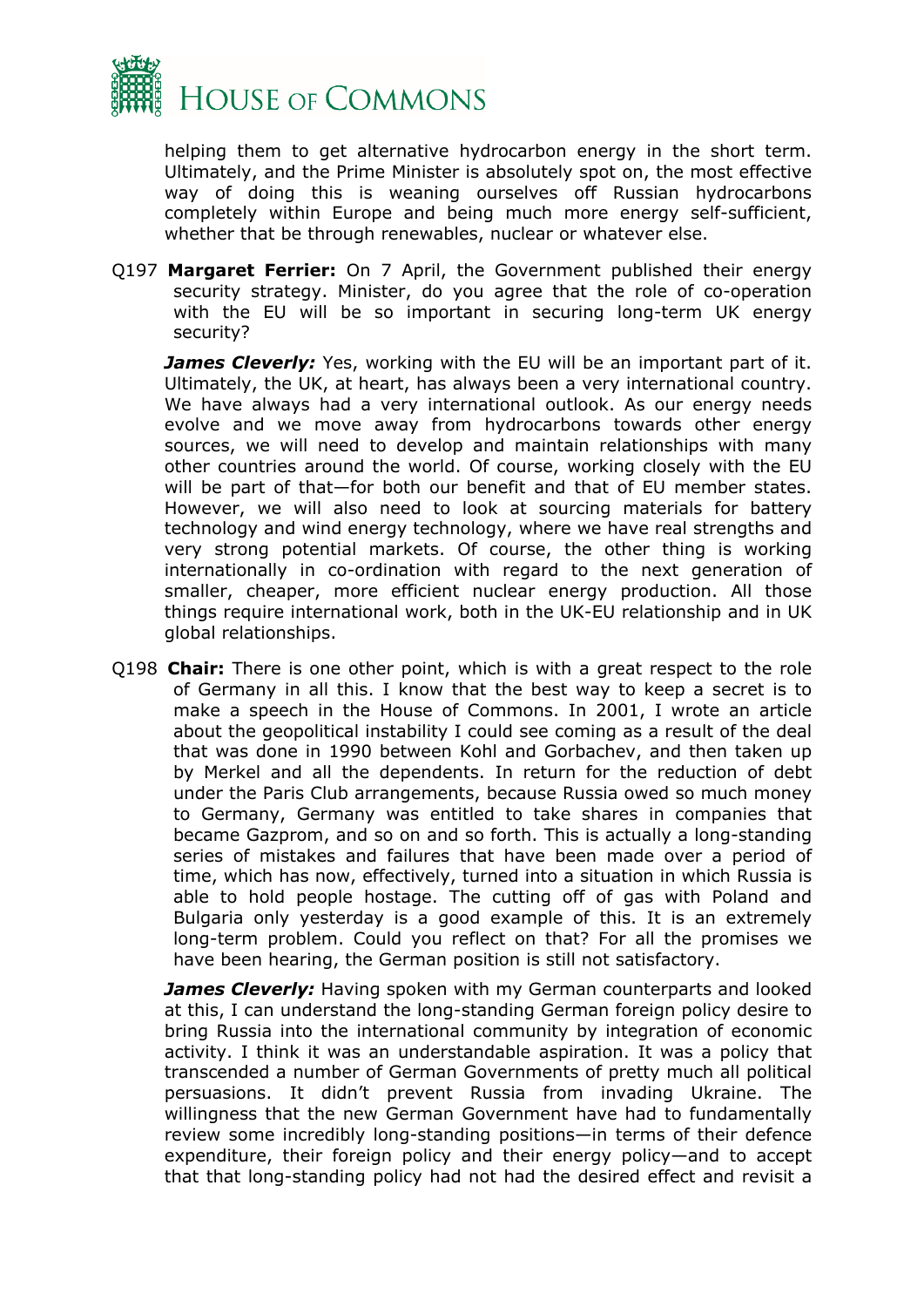

helping them to get alternative hydrocarbon energy in the short term. Ultimately, and the Prime Minister is absolutely spot on, the most effective way of doing this is weaning ourselves off Russian hydrocarbons completely within Europe and being much more energy self-sufficient, whether that be through renewables, nuclear or whatever else.

Q197 **Margaret Ferrier:** On 7 April, the Government published their energy security strategy. Minister, do you agree that the role of co-operation with the EU will be so important in securing long-term UK energy security?

*James Cleverly:* Yes, working with the EU will be an important part of it. Ultimately, the UK, at heart, has always been a very international country. We have always had a very international outlook. As our energy needs evolve and we move away from hydrocarbons towards other energy sources, we will need to develop and maintain relationships with many other countries around the world. Of course, working closely with the EU will be part of that—for both our benefit and that of EU member states. However, we will also need to look at sourcing materials for battery technology and wind energy technology, where we have real strengths and very strong potential markets. Of course, the other thing is working internationally in co-ordination with regard to the next generation of smaller, cheaper, more efficient nuclear energy production. All those things require international work, both in the UK-EU relationship and in UK global relationships.

Q198 **Chair:** There is one other point, which is with a great respect to the role of Germany in all this. I know that the best way to keep a secret is to make a speech in the House of Commons. In 2001, I wrote an article about the geopolitical instability I could see coming as a result of the deal that was done in 1990 between Kohl and Gorbachev, and then taken up by Merkel and all the dependents. In return for the reduction of debt under the Paris Club arrangements, because Russia owed so much money to Germany, Germany was entitled to take shares in companies that became Gazprom, and so on and so forth. This is actually a long-standing series of mistakes and failures that have been made over a period of time, which has now, effectively, turned into a situation in which Russia is able to hold people hostage. The cutting off of gas with Poland and Bulgaria only yesterday is a good example of this. It is an extremely long-term problem. Could you reflect on that? For all the promises we have been hearing, the German position is still not satisfactory.

*James Cleverly:* Having spoken with my German counterparts and looked at this, I can understand the long-standing German foreign policy desire to bring Russia into the international community by integration of economic activity. I think it was an understandable aspiration. It was a policy that transcended a number of German Governments of pretty much all political persuasions. It didn't prevent Russia from invading Ukraine. The willingness that the new German Government have had to fundamentally review some incredibly long-standing positions—in terms of their defence expenditure, their foreign policy and their energy policy—and to accept that that long-standing policy had not had the desired effect and revisit a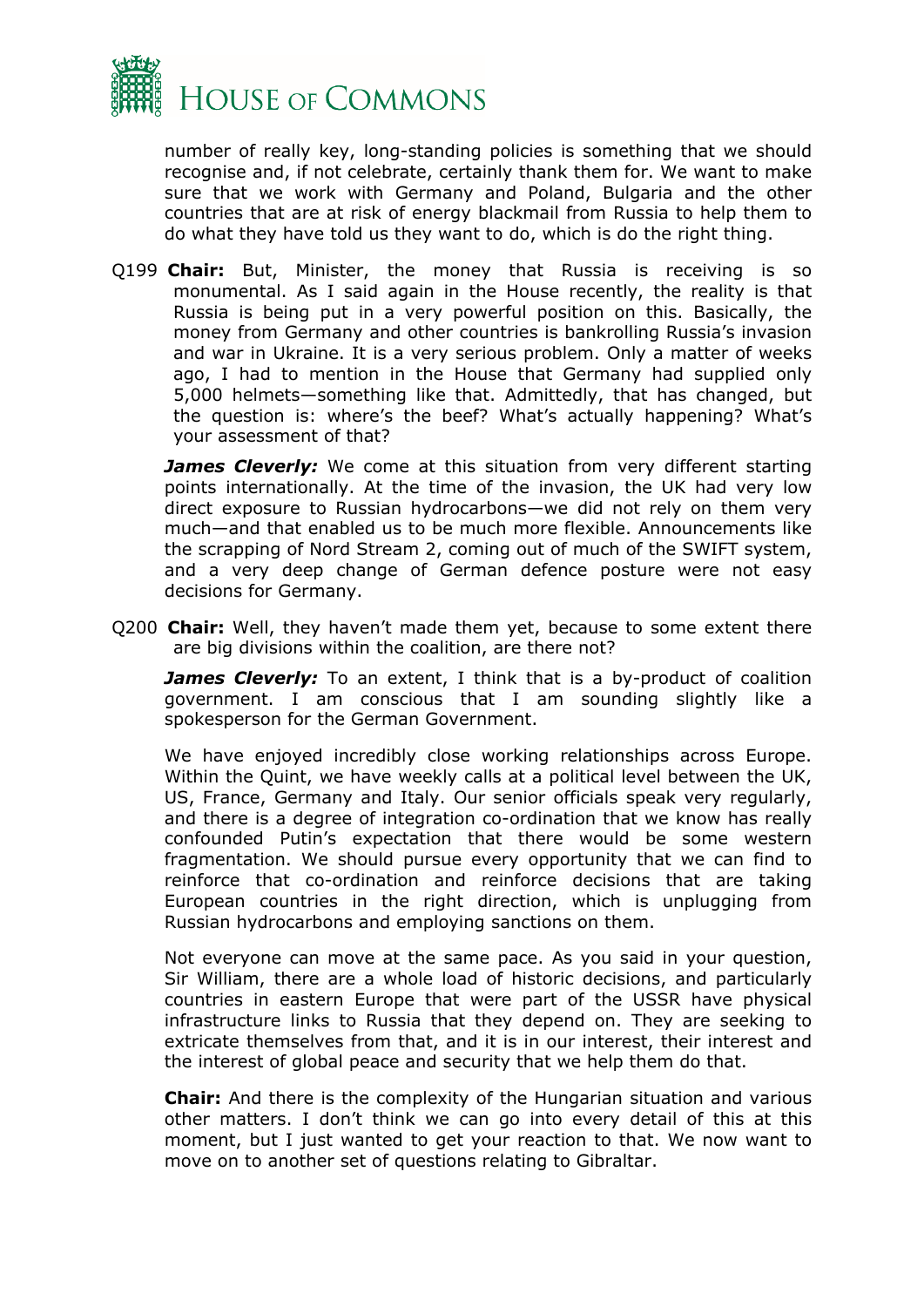

number of really key, long-standing policies is something that we should recognise and, if not celebrate, certainly thank them for. We want to make sure that we work with Germany and Poland, Bulgaria and the other countries that are at risk of energy blackmail from Russia to help them to do what they have told us they want to do, which is do the right thing.

Q199 **Chair:** But, Minister, the money that Russia is receiving is so monumental. As I said again in the House recently, the reality is that Russia is being put in a very powerful position on this. Basically, the money from Germany and other countries is bankrolling Russia's invasion and war in Ukraine. It is a very serious problem. Only a matter of weeks ago, I had to mention in the House that Germany had supplied only 5,000 helmets—something like that. Admittedly, that has changed, but the question is: where's the beef? What's actually happening? What's your assessment of that?

*James Cleverly:* We come at this situation from very different starting points internationally. At the time of the invasion, the UK had very low direct exposure to Russian hydrocarbons—we did not rely on them very much—and that enabled us to be much more flexible. Announcements like the scrapping of Nord Stream 2, coming out of much of the SWIFT system, and a very deep change of German defence posture were not easy decisions for Germany.

Q200 **Chair:** Well, they haven't made them yet, because to some extent there are big divisions within the coalition, are there not?

*James Cleverly:* To an extent, I think that is a by-product of coalition government. I am conscious that I am sounding slightly like a spokesperson for the German Government.

We have enjoyed incredibly close working relationships across Europe. Within the Quint, we have weekly calls at a political level between the UK, US, France, Germany and Italy. Our senior officials speak very regularly, and there is a degree of integration co-ordination that we know has really confounded Putin's expectation that there would be some western fragmentation. We should pursue every opportunity that we can find to reinforce that co-ordination and reinforce decisions that are taking European countries in the right direction, which is unplugging from Russian hydrocarbons and employing sanctions on them.

Not everyone can move at the same pace. As you said in your question, Sir William, there are a whole load of historic decisions, and particularly countries in eastern Europe that were part of the USSR have physical infrastructure links to Russia that they depend on. They are seeking to extricate themselves from that, and it is in our interest, their interest and the interest of global peace and security that we help them do that.

**Chair:** And there is the complexity of the Hungarian situation and various other matters. I don't think we can go into every detail of this at this moment, but I just wanted to get your reaction to that. We now want to move on to another set of questions relating to Gibraltar.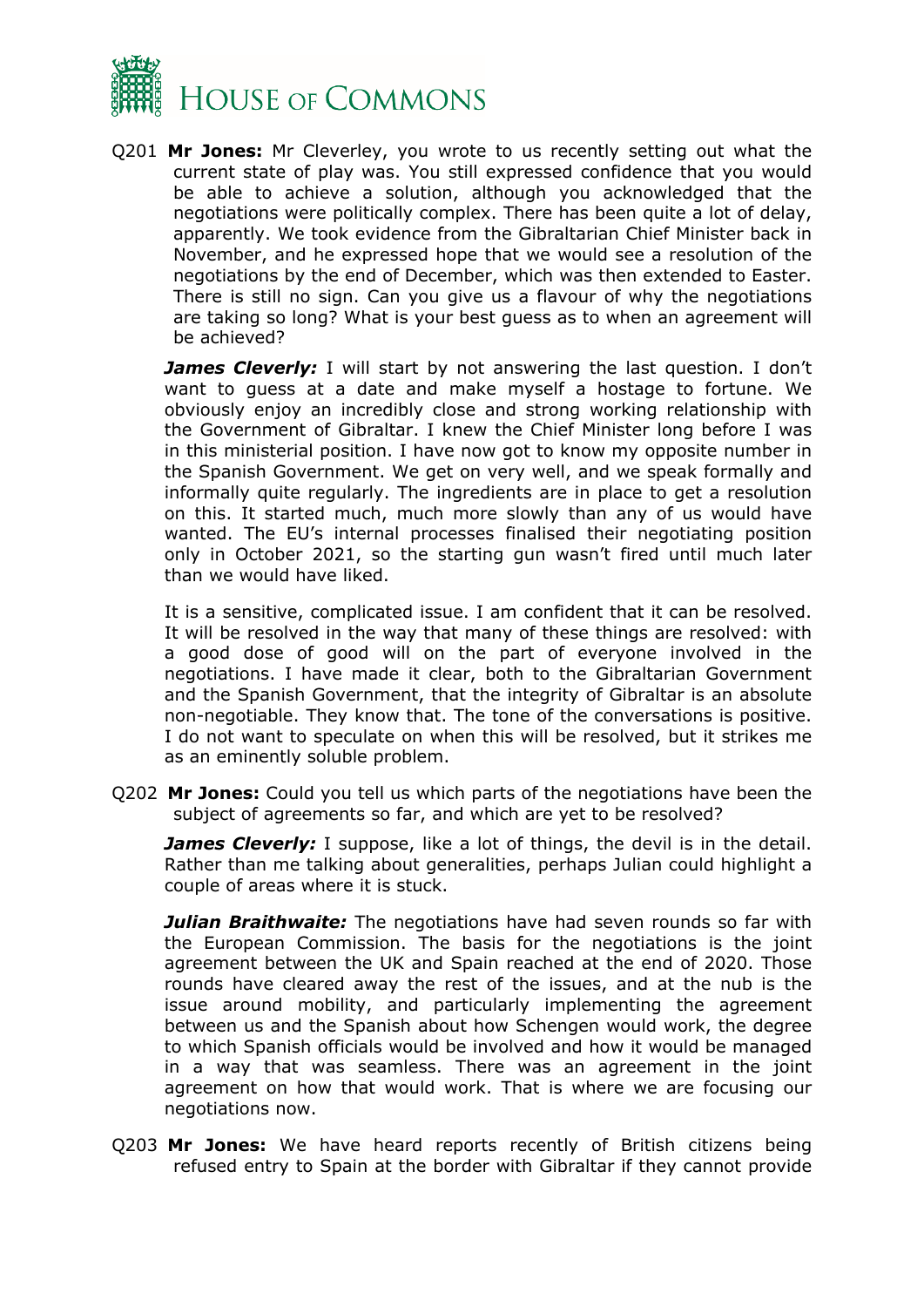

Q201 **Mr Jones:** Mr Cleverley, you wrote to us recently setting out what the current state of play was. You still expressed confidence that you would be able to achieve a solution, although you acknowledged that the negotiations were politically complex. There has been quite a lot of delay, apparently. We took evidence from the Gibraltarian Chief Minister back in November, and he expressed hope that we would see a resolution of the negotiations by the end of December, which was then extended to Easter. There is still no sign. Can you give us a flavour of why the negotiations are taking so long? What is your best guess as to when an agreement will be achieved?

*James Cleverly:* I will start by not answering the last question. I don't want to guess at a date and make myself a hostage to fortune. We obviously enjoy an incredibly close and strong working relationship with the Government of Gibraltar. I knew the Chief Minister long before I was in this ministerial position. I have now got to know my opposite number in the Spanish Government. We get on very well, and we speak formally and informally quite regularly. The ingredients are in place to get a resolution on this. It started much, much more slowly than any of us would have wanted. The EU's internal processes finalised their negotiating position only in October 2021, so the starting gun wasn't fired until much later than we would have liked.

It is a sensitive, complicated issue. I am confident that it can be resolved. It will be resolved in the way that many of these things are resolved: with a good dose of good will on the part of everyone involved in the negotiations. I have made it clear, both to the Gibraltarian Government and the Spanish Government, that the integrity of Gibraltar is an absolute non-negotiable. They know that. The tone of the conversations is positive. I do not want to speculate on when this will be resolved, but it strikes me as an eminently soluble problem.

Q202 **Mr Jones:** Could you tell us which parts of the negotiations have been the subject of agreements so far, and which are yet to be resolved?

*James Cleverly:* I suppose, like a lot of things, the devil is in the detail. Rather than me talking about generalities, perhaps Julian could highlight a couple of areas where it is stuck.

*Julian Braithwaite:* The negotiations have had seven rounds so far with the European Commission. The basis for the negotiations is the joint agreement between the UK and Spain reached at the end of 2020. Those rounds have cleared away the rest of the issues, and at the nub is the issue around mobility, and particularly implementing the agreement between us and the Spanish about how Schengen would work, the degree to which Spanish officials would be involved and how it would be managed in a way that was seamless. There was an agreement in the joint agreement on how that would work. That is where we are focusing our negotiations now.

Q203 **Mr Jones:** We have heard reports recently of British citizens being refused entry to Spain at the border with Gibraltar if they cannot provide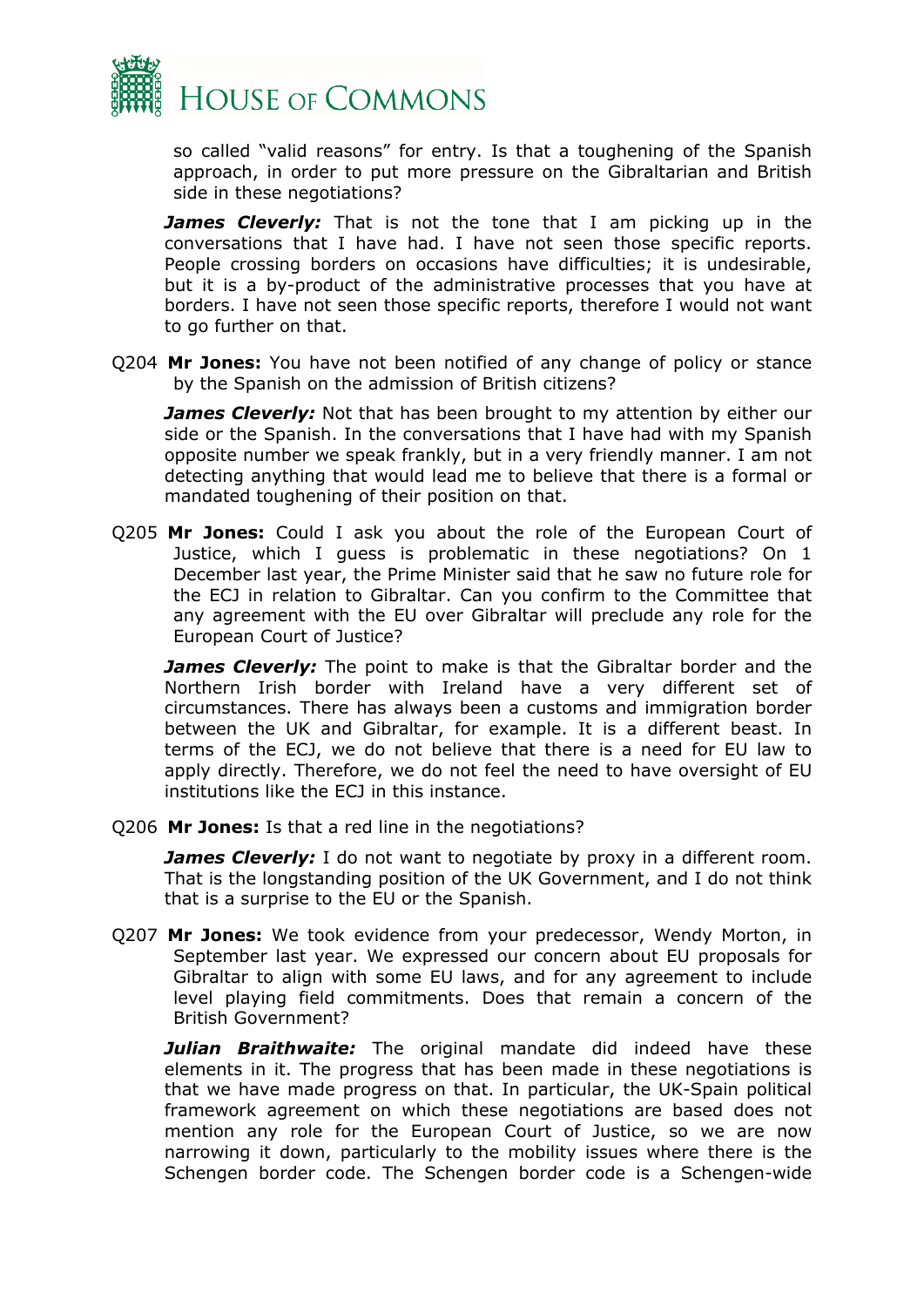

so called "valid reasons" for entry. Is that a toughening of the Spanish approach, in order to put more pressure on the Gibraltarian and British side in these negotiations?

*James Cleverly:* That is not the tone that I am picking up in the conversations that I have had. I have not seen those specific reports. People crossing borders on occasions have difficulties; it is undesirable, but it is a by-product of the administrative processes that you have at borders. I have not seen those specific reports, therefore I would not want to go further on that.

Q204 **Mr Jones:** You have not been notified of any change of policy or stance by the Spanish on the admission of British citizens?

*James Cleverly:* Not that has been brought to my attention by either our side or the Spanish. In the conversations that I have had with my Spanish opposite number we speak frankly, but in a very friendly manner. I am not detecting anything that would lead me to believe that there is a formal or mandated toughening of their position on that.

Q205 **Mr Jones:** Could I ask you about the role of the European Court of Justice, which I guess is problematic in these negotiations? On 1 December last year, the Prime Minister said that he saw no future role for the ECJ in relation to Gibraltar. Can you confirm to the Committee that any agreement with the EU over Gibraltar will preclude any role for the European Court of Justice?

*James Cleverly:* The point to make is that the Gibraltar border and the Northern Irish border with Ireland have a very different set of circumstances. There has always been a customs and immigration border between the UK and Gibraltar, for example. It is a different beast. In terms of the ECJ, we do not believe that there is a need for EU law to apply directly. Therefore, we do not feel the need to have oversight of EU institutions like the ECJ in this instance.

Q206 **Mr Jones:** Is that a red line in the negotiations?

*James Cleverly:* I do not want to negotiate by proxy in a different room. That is the longstanding position of the UK Government, and I do not think that is a surprise to the EU or the Spanish.

Q207 **Mr Jones:** We took evidence from your predecessor, Wendy Morton, in September last year. We expressed our concern about EU proposals for Gibraltar to align with some EU laws, and for any agreement to include level playing field commitments. Does that remain a concern of the British Government?

*Julian Braithwaite:* The original mandate did indeed have these elements in it. The progress that has been made in these negotiations is that we have made progress on that. In particular, the UK-Spain political framework agreement on which these negotiations are based does not mention any role for the European Court of Justice, so we are now narrowing it down, particularly to the mobility issues where there is the Schengen border code. The Schengen border code is a Schengen-wide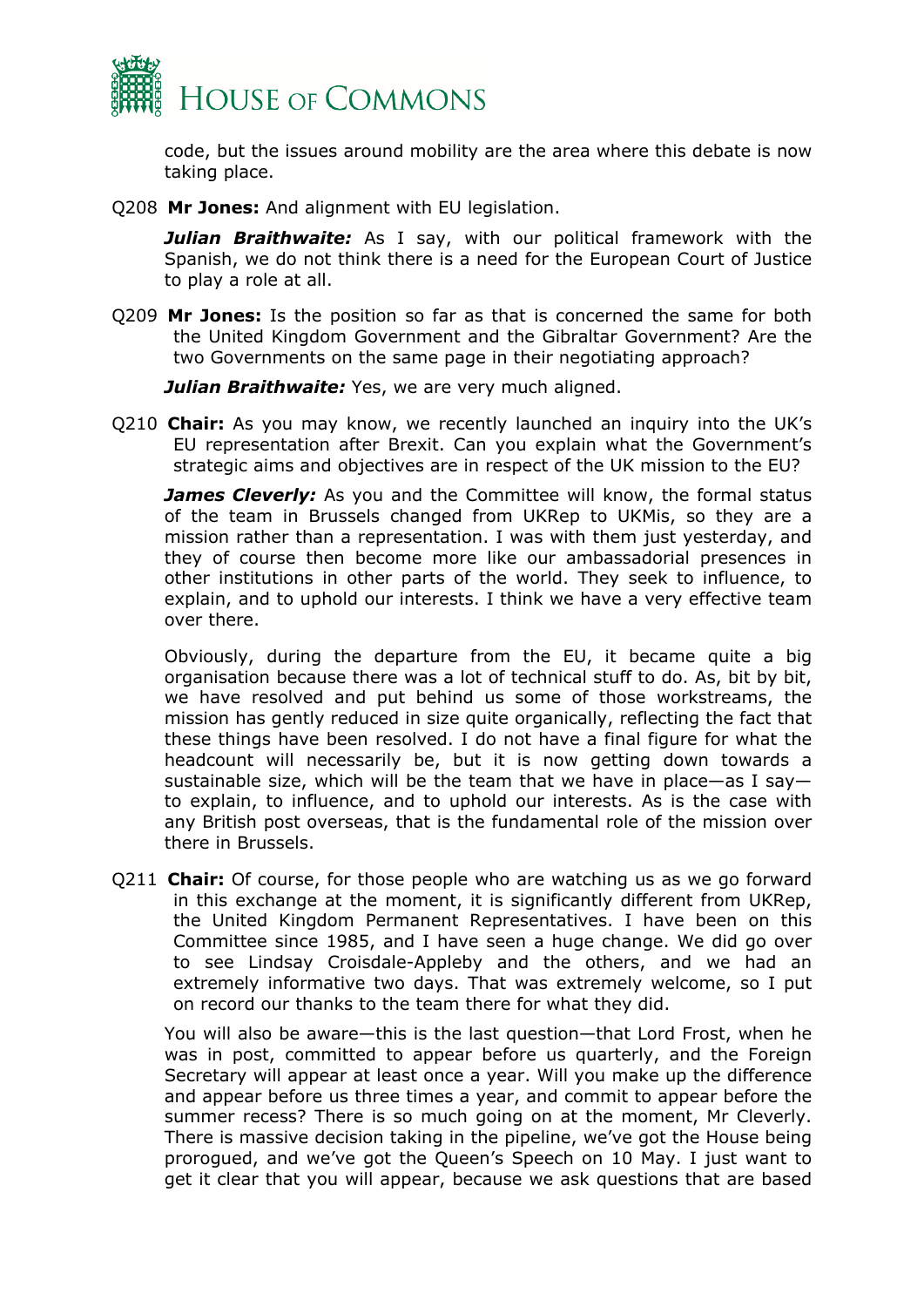

code, but the issues around mobility are the area where this debate is now taking place.

Q208 **Mr Jones:** And alignment with EU legislation.

*Julian Braithwaite:* As I say, with our political framework with the Spanish, we do not think there is a need for the European Court of Justice to play a role at all.

Q209 **Mr Jones:** Is the position so far as that is concerned the same for both the United Kingdom Government and the Gibraltar Government? Are the two Governments on the same page in their negotiating approach?

*Julian Braithwaite:* Yes, we are very much aligned.

Q210 **Chair:** As you may know, we recently launched an inquiry into the UK's EU representation after Brexit. Can you explain what the Government's strategic aims and objectives are in respect of the UK mission to the EU?

*James Cleverly:* As you and the Committee will know, the formal status of the team in Brussels changed from UKRep to UKMis, so they are a mission rather than a representation. I was with them just yesterday, and they of course then become more like our ambassadorial presences in other institutions in other parts of the world. They seek to influence, to explain, and to uphold our interests. I think we have a very effective team over there.

Obviously, during the departure from the EU, it became quite a big organisation because there was a lot of technical stuff to do. As, bit by bit, we have resolved and put behind us some of those workstreams, the mission has gently reduced in size quite organically, reflecting the fact that these things have been resolved. I do not have a final figure for what the headcount will necessarily be, but it is now getting down towards a sustainable size, which will be the team that we have in place—as I say to explain, to influence, and to uphold our interests. As is the case with any British post overseas, that is the fundamental role of the mission over there in Brussels.

Q211 **Chair:** Of course, for those people who are watching us as we go forward in this exchange at the moment, it is significantly different from UKRep, the United Kingdom Permanent Representatives. I have been on this Committee since 1985, and I have seen a huge change. We did go over to see Lindsay Croisdale-Appleby and the others, and we had an extremely informative two days. That was extremely welcome, so I put on record our thanks to the team there for what they did.

You will also be aware—this is the last question—that Lord Frost, when he was in post, committed to appear before us quarterly, and the Foreign Secretary will appear at least once a year. Will you make up the difference and appear before us three times a year, and commit to appear before the summer recess? There is so much going on at the moment, Mr Cleverly. There is massive decision taking in the pipeline, we've got the House being prorogued, and we've got the Queen's Speech on 10 May. I just want to get it clear that you will appear, because we ask questions that are based